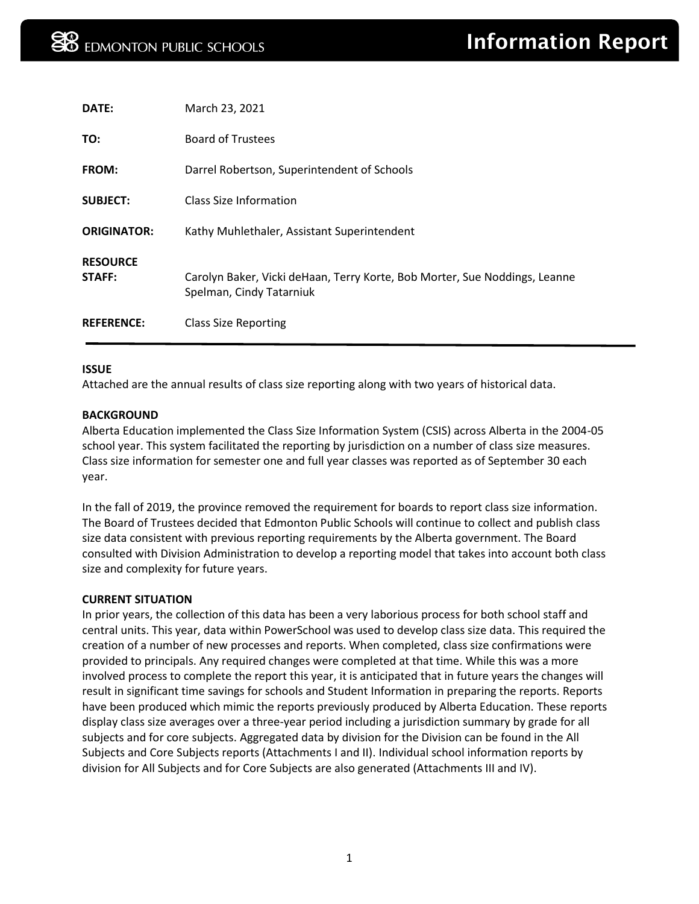| DATE:                     | March 23, 2021                                                                                         |
|---------------------------|--------------------------------------------------------------------------------------------------------|
| TO:                       | <b>Board of Trustees</b>                                                                               |
| <b>FROM:</b>              | Darrel Robertson, Superintendent of Schools                                                            |
| <b>SUBJECT:</b>           | Class Size Information                                                                                 |
| <b>ORIGINATOR:</b>        | Kathy Muhlethaler, Assistant Superintendent                                                            |
| <b>RESOURCE</b><br>STAFF: | Carolyn Baker, Vicki deHaan, Terry Korte, Bob Morter, Sue Noddings, Leanne<br>Spelman, Cindy Tatarniuk |
| <b>REFERENCE:</b>         | <b>Class Size Reporting</b>                                                                            |

### **ISSUE**

Attached are the annual results of class size reporting along with two years of historical data.

### **BACKGROUND**

Alberta Education implemented the Class Size Information System (CSIS) across Alberta in the 2004-05 school year. This system facilitated the reporting by jurisdiction on a number of class size measures. Class size information for semester one and full year classes was reported as of September 30 each year.

In the fall of 2019, the province removed the requirement for boards to report class size information. The Board of Trustees decided that Edmonton Public Schools will continue to collect and publish class size data consistent with previous reporting requirements by the Alberta government. The Board consulted with Division Administration to develop a reporting model that takes into account both class size and complexity for future years.

### **CURRENT SITUATION**

In prior years, the collection of this data has been a very laborious process for both school staff and central units. This year, data within PowerSchool was used to develop class size data. This required the creation of a number of new processes and reports. When completed, class size confirmations were provided to principals. Any required changes were completed at that time. While this was a more involved process to complete the report this year, it is anticipated that in future years the changes will result in significant time savings for schools and Student Information in preparing the reports. Reports have been produced which mimic the reports previously produced by Alberta Education. These reports display class size averages over a three-year period including a jurisdiction summary by grade for all subjects and for core subjects. Aggregated data by division for the Division can be found in the All Subjects and Core Subjects reports (Attachments I and II). Individual school information reports by division for All Subjects and for Core Subjects are also generated (Attachments III and IV).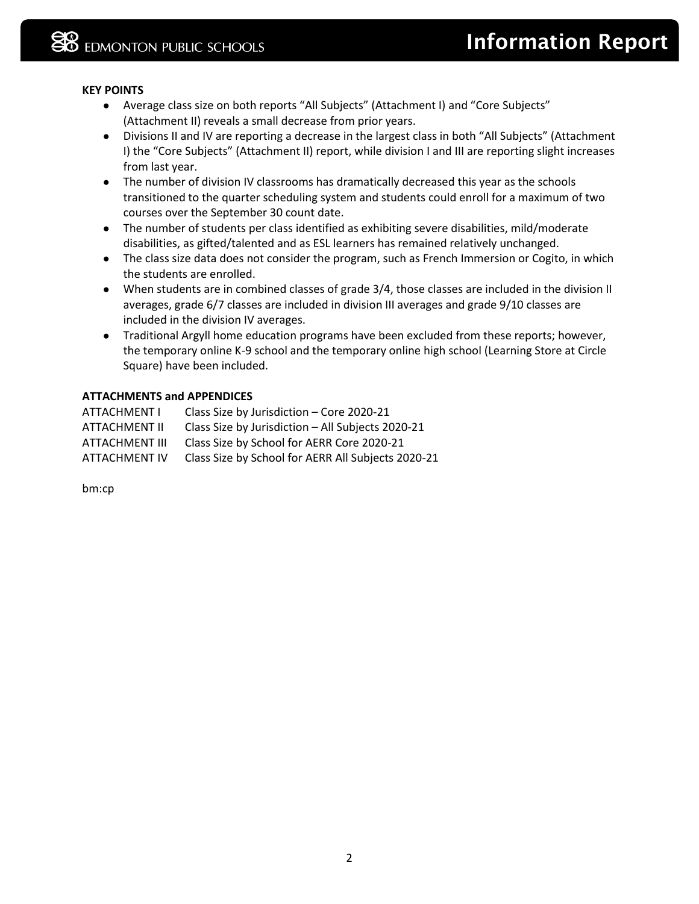# **KEY POINTS**

- Average class size on both reports "All Subjects" (Attachment I) and "Core Subjects" (Attachment II) reveals a small decrease from prior years.
- Divisions II and IV are reporting a decrease in the largest class in both "All Subjects" (Attachment I) the "Core Subjects" (Attachment II) report, while division I and III are reporting slight increases from last year.
- The number of division IV classrooms has dramatically decreased this year as the schools transitioned to the quarter scheduling system and students could enroll for a maximum of two courses over the September 30 count date.
- The number of students per class identified as exhibiting severe disabilities, mild/moderate disabilities, as gifted/talented and as ESL learners has remained relatively unchanged.
- The class size data does not consider the program, such as French Immersion or Cogito, in which the students are enrolled.
- When students are in combined classes of grade 3/4, those classes are included in the division II averages, grade 6/7 classes are included in division III averages and grade 9/10 classes are included in the division IV averages.
- Traditional Argyll home education programs have been excluded from these reports; however, the temporary online K-9 school and the temporary online high school (Learning Store at Circle Square) have been included.

# **ATTACHMENTS and APPENDICES**

| ATTACHMENT I         | Class Size by Jurisdiction - Core 2020-21          |
|----------------------|----------------------------------------------------|
| ATTACHMENT II        | Class Size by Jurisdiction - All Subjects 2020-21  |
| ATTACHMENT III       | Class Size by School for AERR Core 2020-21         |
| <b>ATTACHMENT IV</b> | Class Size by School for AERR All Subjects 2020-21 |

bm:cp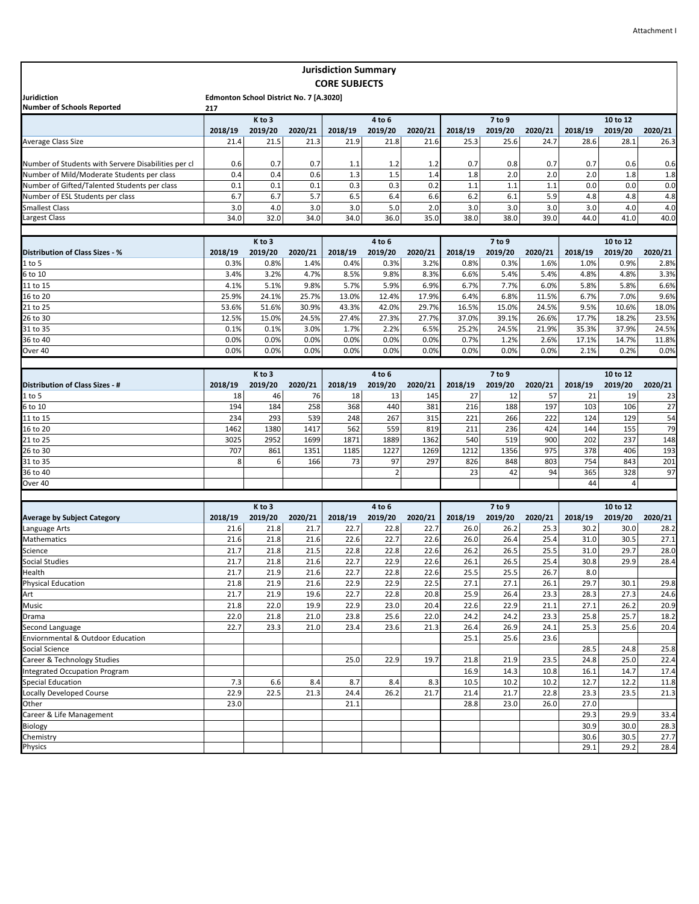|                                                     |         |                                         |         | <b>Jurisdiction Summary</b> |                |         |         |         |         |         |          |         |
|-----------------------------------------------------|---------|-----------------------------------------|---------|-----------------------------|----------------|---------|---------|---------|---------|---------|----------|---------|
|                                                     |         |                                         |         | <b>CORE SUBJECTS</b>        |                |         |         |         |         |         |          |         |
| Juridiction                                         |         | Edmonton School District No. 7 [A.3020] |         |                             |                |         |         |         |         |         |          |         |
| <b>Number of Schools Reported</b>                   | 217     |                                         |         |                             |                |         |         |         |         |         |          |         |
|                                                     |         | K to 3                                  |         |                             | 4 to 6         |         |         | 7 to 9  |         |         | 10 to 12 |         |
|                                                     | 2018/19 | 2019/20                                 | 2020/21 | 2018/19                     | 2019/20        | 2020/21 | 2018/19 | 2019/20 | 2020/21 | 2018/19 | 2019/20  | 2020/21 |
| Average Class Size                                  | 21.4    | 21.5                                    | 21.3    | 21.9                        | 21.8           | 21.6    | 25.3    | 25.6    | 24.7    | 28.6    | 28.1     | 26.3    |
|                                                     |         |                                         |         |                             |                |         |         |         |         |         |          |         |
| Number of Students with Servere Disabilities per cl | 0.6     | 0.7                                     | 0.7     | 1.1                         | 1.2            | 1.2     | 0.7     | 0.8     | 0.7     | 0.7     | 0.6      | 0.6     |
| Number of Mild/Moderate Students per class          | 0.4     | 0.4                                     | 0.6     | 1.3                         | 1.5            | 1.4     | 1.8     | 2.0     | 2.0     | 2.0     | 1.8      | 1.8     |
| Number of Gifted/Talented Students per class        | 0.1     | 0.1                                     | 0.1     | 0.3                         | 0.3            | 0.2     | 1.1     | 1.1     | 1.1     | 0.0     | 0.0      | 0.0     |
| Number of ESL Students per class                    | 6.7     | 6.7                                     | 5.7     | 6.5                         | 6.4            | 6.6     | 6.2     | 6.1     | 5.9     | 4.8     | 4.8      | 4.8     |
| <b>Smallest Class</b>                               | 3.0     | 4.0                                     | 3.0     | 3.0                         | 5.0            | 2.0     | 3.0     | 3.0     | 3.0     | 3.0     | 4.0      | 4.0     |
| Largest Class                                       | 34.0    | 32.0                                    | 34.0    | 34.0                        | 36.0           | 35.0    | 38.0    | 38.0    | 39.0    | 44.0    | 41.0     | 40.0    |
|                                                     |         |                                         |         |                             |                |         |         |         |         |         |          |         |
|                                                     |         | K to 3                                  |         |                             | 4 to 6         |         |         | 7 to 9  |         |         | 10 to 12 |         |
| Distribution of Class Sizes - %                     | 2018/19 | 2019/20                                 | 2020/21 | 2018/19                     | 2019/20        | 2020/21 | 2018/19 | 2019/20 | 2020/21 | 2018/19 | 2019/20  | 2020/21 |
| $1$ to 5                                            | 0.3%    | 0.8%                                    | 1.4%    | 0.4%                        | 0.3%           | 3.2%    | 0.8%    | 0.3%    | 1.6%    | 1.0%    | 0.9%     | 2.8%    |
| 6 to 10                                             | 3.4%    | 3.2%                                    | 4.7%    | 8.5%                        | 9.8%           | 8.3%    | 6.6%    | 5.4%    | 5.4%    | 4.8%    | 4.8%     | 3.3%    |
| 11 to 15                                            | 4.1%    | 5.1%                                    | 9.8%    | 5.7%                        | 5.9%           | 6.9%    | 6.7%    | 7.7%    | 6.0%    | 5.8%    | 5.8%     | 6.6%    |
| 16 to 20                                            | 25.9%   | 24.1%                                   | 25.7%   | 13.0%                       | 12.4%          | 17.9%   | 6.4%    | 6.8%    | 11.5%   | 6.7%    | 7.0%     | 9.6%    |
| 21 to 25                                            | 53.6%   | 51.6%                                   | 30.9%   | 43.3%                       | 42.0%          | 29.7%   | 16.5%   | 15.0%   | 24.5%   | 9.5%    | 10.6%    | 18.0%   |
| 26 to 30                                            | 12.5%   | 15.0%                                   | 24.5%   | 27.4%                       | 27.3%          | 27.7%   | 37.0%   | 39.1%   | 26.6%   | 17.7%   | 18.2%    | 23.5%   |
| 31 to 35                                            | 0.1%    | 0.1%                                    | 3.0%    | 1.7%                        | 2.2%           | 6.5%    | 25.2%   | 24.5%   | 21.9%   | 35.3%   | 37.9%    | 24.5%   |
| 36 to 40                                            | 0.0%    | 0.0%                                    | 0.0%    | 0.0%                        | 0.0%           | 0.0%    | 0.7%    | 1.2%    | 2.6%    | 17.1%   | 14.7%    | 11.8%   |
| Over 40                                             | 0.0%    | 0.0%                                    | 0.0%    | 0.0%                        | 0.0%           | 0.0%    | 0.0%    | 0.0%    | 0.0%    | 2.1%    | 0.2%     | 0.0%    |
|                                                     |         |                                         |         |                             |                |         |         |         |         |         |          |         |
|                                                     |         | K to 3                                  |         | 4 to 6                      |                |         |         | 7 to 9  |         |         | 10 to 12 |         |
| Distribution of Class Sizes - #                     | 2018/19 | 2019/20                                 | 2020/21 | 2018/19                     | 2019/20        | 2020/21 | 2018/19 | 2019/20 | 2020/21 | 2018/19 | 2019/20  | 2020/21 |
| $1$ to 5                                            | 18      | 46                                      | 76      | 18                          | 13             | 145     | 27      | 12      | 57      | 21      | 19       | 23      |
| 6 to 10                                             | 194     | 184                                     | 258     | 368                         | 440            | 381     | 216     | 188     | 197     | 103     | 106      | 27      |
| 11 to 15                                            | 234     | 293                                     | 539     | 248                         | 267            | 315     | 221     | 266     | 222     | 124     | 129      | 54      |
| 16 to 20                                            | 1462    | 1380                                    | 1417    | 562                         | 559            | 819     | 211     | 236     | 424     | 144     | 155      | 79      |
| 21 to 25                                            | 3025    | 2952                                    | 1699    | 1871                        | 1889           | 1362    | 540     | 519     | 900     | 202     | 237      | 148     |
| 26 to 30                                            | 707     | 861                                     | 1351    | 1185                        | 1227           | 1269    | 1212    | 1356    | 975     | 378     | 406      | 193     |
| 31 to 35                                            | 8       | 6                                       | 166     | 73                          | 97             | 297     | 826     | 848     | 803     | 754     | 843      | 201     |
| 36 to 40                                            |         |                                         |         |                             | $\overline{2}$ |         | 23      | 42      | 94      | 365     | 328      | 97      |
| Over 40                                             |         |                                         |         |                             |                |         |         |         |         | 44      | 4        |         |
|                                                     |         |                                         |         |                             |                |         |         |         |         |         |          |         |
|                                                     |         | K to 3                                  |         |                             | 4 to 6         |         |         | 7 to 9  |         |         | 10 to 12 |         |
| <b>Average by Subject Category</b>                  | 2018/19 | 2019/20                                 | 2020/21 | 2018/19                     | 2019/20        | 2020/21 | 2018/19 | 2019/20 | 2020/21 | 2018/19 | 2019/20  | 2020/21 |
| Language Arts                                       | 21.6    | 21.8                                    | 21.7    | 22.7                        | 22.8           | 22.7    | 26.0    | 26.2    | 25.3    | 30.2    | 30.0     | 28.2    |
| <b>Mathematics</b>                                  | 21.6    | 21.8                                    | 21.6    | 22.6                        | 22.7           | 22.6    | 26.0    | 26.4    | 25.4    | 31.0    | 30.5     | 27.1    |
| Science                                             | 21.7    | 21.8                                    | 21.5    | 22.8                        | 22.8           | 22.6    | 26.2    | 26.5    | 25.5    | 31.0    | 29.7     | 28.0    |
| Social Studies                                      | 21.7    | 21.8                                    | 21.6    | 22.7                        | 22.9           | 22.6    | 26.1    | 26.5    | 25.4    | 30.8    | 29.9     | 28.4    |
| Health                                              | 21.7    | 21.9                                    | 21.6    | 22.7                        | 22.8           | 22.6    | 25.5    | 25.5    | 26.7    | 8.0     |          |         |
| Physical Education                                  | 21.8    | 21.9                                    | 21.6    | 22.9                        | 22.9           | 22.5    | 27.1    | 27.1    | 26.1    | 29.7    | 30.1     | 29.8    |
| Art                                                 | 21.7    | 21.9                                    | 19.6    | 22.7                        | 22.8           | 20.8    | 25.9    | 26.4    | 23.3    | 28.3    | 27.3     | 24.6    |
| Music                                               | 21.8    | 22.0                                    | 19.9    | 22.9                        | 23.0           | 20.4    | 22.6    | 22.9    | 21.1    | 27.1    | 26.2     | 20.9    |
| Drama                                               | 22.0    | 21.8                                    | 21.0    | 23.8                        | 25.6           | 22.0    | 24.2    | 24.2    | 23.3    | 25.8    | 25.7     | 18.2    |
| Second Language                                     | 22.7    | 23.3                                    | 21.0    | 23.4                        | 23.6           | 21.3    | 26.4    | 26.9    | 24.1    | 25.3    | 25.6     | 20.4    |
| Enviornmental & Outdoor Education                   |         |                                         |         |                             |                |         | 25.1    | 25.6    | 23.6    |         |          |         |
| Social Science                                      |         |                                         |         |                             |                |         |         |         |         | 28.5    | 24.8     | 25.8    |
| Career & Technology Studies                         |         |                                         |         | 25.0                        | 22.9           | 19.7    | 21.8    | 21.9    | 23.5    | 24.8    | 25.0     | 22.4    |
| <b>Integrated Occupation Program</b>                |         |                                         |         |                             |                |         | 16.9    | 14.3    | 10.8    | 16.1    | 14.7     | 17.4    |
| <b>Special Education</b>                            | 7.3     | 6.6                                     | 8.4     | 8.7                         | 8.4            | 8.3     | 10.5    | 10.2    | 10.2    | 12.7    | 12.2     | 11.8    |
| <b>Locally Developed Course</b>                     | 22.9    | 22.5                                    | 21.3    | 24.4                        | 26.2           | 21.7    | 21.4    | 21.7    | 22.8    | 23.3    | 23.5     | 21.3    |
| Other                                               | 23.0    |                                         |         | 21.1                        |                |         | 28.8    | 23.0    | 26.0    | 27.0    |          |         |
| Career & Life Management                            |         |                                         |         |                             |                |         |         |         |         | 29.3    | 29.9     | 33.4    |
| Biology                                             |         |                                         |         |                             |                |         |         |         |         | 30.9    | 30.0     | 28.3    |
| Chemistry                                           |         |                                         |         |                             |                |         |         |         |         | 30.6    | 30.5     | 27.7    |
| Physics                                             |         |                                         |         |                             |                |         |         |         |         | 29.1    | 29.2     | 28.4    |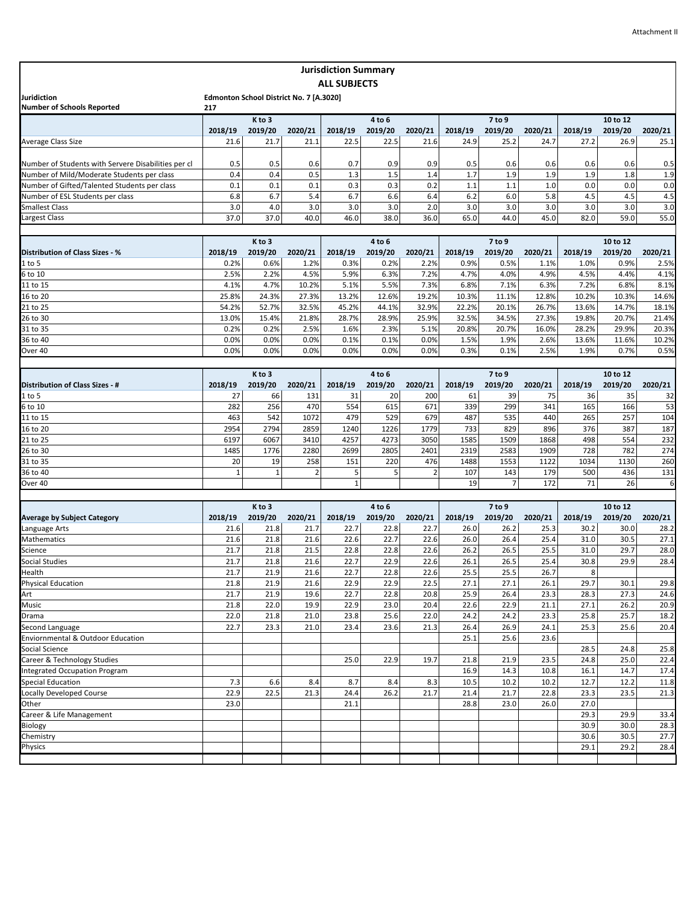|                                                     |         |                                         |         | <b>Jurisdiction Summary</b> |         |                |         |                |         |         |          |         |
|-----------------------------------------------------|---------|-----------------------------------------|---------|-----------------------------|---------|----------------|---------|----------------|---------|---------|----------|---------|
|                                                     |         |                                         |         | <b>ALL SUBJECTS</b>         |         |                |         |                |         |         |          |         |
| Juridiction<br><b>Number of Schools Reported</b>    | 217     | Edmonton School District No. 7 [A.3020] |         |                             |         |                |         |                |         |         |          |         |
|                                                     |         | K to 3                                  |         |                             | 4 to 6  |                |         | 7 to 9         |         |         | 10 to 12 |         |
|                                                     | 2018/19 | 2019/20                                 | 2020/21 | 2018/19                     | 2019/20 | 2020/21        | 2018/19 | 2019/20        | 2020/21 | 2018/19 | 2019/20  | 2020/21 |
| Average Class Size                                  | 21.6    | 21.7                                    | 21.1    | 22.5                        | 22.5    | 21.6           | 24.9    | 25.2           | 24.7    | 27.2    | 26.9     | 25.1    |
|                                                     |         |                                         |         |                             |         |                |         |                |         |         |          |         |
| Number of Students with Servere Disabilities per cl | 0.5     | 0.5                                     | 0.6     | 0.7                         | 0.9     | 0.9            | 0.5     | 0.6            | 0.6     | 0.6     | 0.6      | 0.5     |
| Number of Mild/Moderate Students per class          | 0.4     | 0.4                                     | 0.5     | 1.3                         | 1.5     | 1.4            | 1.7     | 1.9            | 1.9     | 1.9     | 1.8      | 1.9     |
| Number of Gifted/Talented Students per class        | 0.1     | 0.1                                     | 0.1     | 0.3                         | 0.3     | 0.2            | 1.1     | 1.1            | 1.0     | 0.0     | 0.0      | 0.0     |
| Number of ESL Students per class                    | 6.8     | 6.7                                     | 5.4     | 6.7                         | 6.6     | 6.4            | 6.2     | 6.0            | 5.8     | 4.5     | 4.5      | 4.5     |
| <b>Smallest Class</b>                               | 3.0     | 4.0                                     | 3.0     | 3.0                         | 3.0     | 2.0            | 3.0     | 3.0            | 3.0     | 3.0     | 3.0      | 3.0     |
| Largest Class                                       | 37.0    | 37.0                                    | 40.0    | 46.0                        | 38.0    | 36.0           | 65.0    | 44.0           | 45.0    | 82.0    | 59.0     | 55.0    |
|                                                     |         |                                         |         |                             |         |                |         |                |         |         |          |         |
|                                                     |         | K to 3                                  |         |                             | 4 to 6  |                |         | 7 to 9         |         |         | 10 to 12 |         |
| Distribution of Class Sizes - %                     | 2018/19 | 2019/20                                 | 2020/21 | 2018/19                     | 2019/20 | 2020/21        | 2018/19 | 2019/20        | 2020/21 | 2018/19 | 2019/20  | 2020/21 |
| $1$ to 5                                            | 0.2%    | 0.6%                                    | 1.2%    | 0.3%                        | 0.2%    | 2.2%           | 0.9%    | 0.5%           | 1.1%    | 1.0%    | 0.9%     | 2.5%    |
| $6$ to 10                                           | 2.5%    | 2.2%                                    | 4.5%    | 5.9%                        | 6.3%    | 7.2%           | 4.7%    | 4.0%           | 4.9%    | 4.5%    | 4.4%     | 4.1%    |
| 11 to 15                                            | 4.1%    | 4.7%                                    | 10.2%   | 5.1%                        | 5.5%    | 7.3%           | 6.8%    | 7.1%           | 6.3%    | 7.2%    | 6.8%     | 8.1%    |
| 16 to 20                                            | 25.8%   | 24.3%                                   | 27.3%   | 13.2%                       | 12.6%   | 19.2%          | 10.3%   | 11.1%          | 12.8%   | 10.2%   | 10.3%    | 14.6%   |
| 21 to 25                                            | 54.2%   | 52.7%                                   | 32.5%   | 45.2%                       | 44.1%   | 32.9%          | 22.2%   | 20.1%          | 26.7%   | 13.6%   | 14.7%    | 18.1%   |
| 26 to 30                                            | 13.0%   | 15.4%                                   | 21.8%   | 28.7%                       | 28.9%   | 25.9%          | 32.5%   | 34.5%          | 27.3%   | 19.8%   | 20.7%    | 21.4%   |
| 31 to 35                                            | 0.2%    | 0.2%                                    | 2.5%    | 1.6%                        | 2.3%    | 5.1%           | 20.8%   | 20.7%          | 16.0%   | 28.2%   | 29.9%    | 20.3%   |
| 36 to 40                                            | 0.0%    | 0.0%                                    | 0.0%    | 0.1%                        | 0.1%    | 0.0%           | 1.5%    | 1.9%           | 2.6%    | 13.6%   | 11.6%    | 10.2%   |
| Over 40                                             | 0.0%    | 0.0%                                    | 0.0%    | 0.0%                        | 0.0%    | 0.0%           | 0.3%    | 0.1%           | 2.5%    | 1.9%    | 0.7%     | 0.5%    |
|                                                     |         |                                         |         |                             |         |                |         |                |         |         |          |         |
|                                                     |         | K to 3                                  |         |                             | 4 to 6  |                |         | 7 to 9         |         |         | 10 to 12 |         |
| Distribution of Class Sizes - #                     | 2018/19 | 2019/20                                 | 2020/21 | 2018/19                     | 2019/20 | 2020/21        | 2018/19 | 2019/20        | 2020/21 | 2018/19 | 2019/20  | 2020/21 |
| $1$ to 5                                            | 27      | 66                                      | 131     | 31                          | 20      | 200            | 61      | 39             | 75      | 36      | 35       | 32      |
| 6 to 10                                             | 282     | 256                                     | 470     | 554                         | 615     | 671            | 339     | 299            | 341     | 165     | 166      | 53      |
| 11 to 15                                            | 463     | 542                                     | 1072    | 479                         | 529     | 679            | 487     | 535            | 440     | 265     | 257      | 104     |
| 16 to 20                                            | 2954    | 2794                                    | 2859    | 1240                        | 1226    | 1779           | 733     | 829            | 896     | 376     | 387      | 187     |
| 21 to 25                                            | 6197    | 6067                                    | 3410    | 4257                        | 4273    | 3050           | 1585    | 1509           | 1868    | 498     | 554      | 232     |
| 26 to 30                                            | 1485    | 1776                                    | 2280    | 2699                        | 2805    | 2401           | 2319    | 2583           | 1909    | 728     | 782      | 274     |
| 31 to 35                                            | 20      | 19                                      | 258     | 151                         | 220     | 476            | 1488    | 1553           | 1122    | 1034    | 1130     | 260     |
| 36 to 40                                            | 1       | 1                                       | 2       | 5                           | 5       | $\overline{2}$ | 107     | 143            | 179     | 500     | 436      | 131     |
| Over 40                                             |         |                                         |         | $\mathbf{1}$                |         |                | 19      | $\overline{7}$ | 172     | 71      | 26       | 6       |
|                                                     |         |                                         |         |                             |         |                |         |                |         |         |          |         |
|                                                     |         | K to 3                                  |         |                             | 4 to 6  |                |         | 7 to 9         |         |         | 10 to 12 |         |
| <b>Average by Subject Category</b>                  | 2018/19 | 2019/20                                 | 2020/21 | 2018/19                     | 2019/20 | 2020/21        | 2018/19 | 2019/20        | 2020/21 | 2018/19 | 2019/20  | 2020/21 |
| Language Arts                                       | 21.6    | 21.8                                    | 21.7    | 22.7                        | 22.8    | 22.7           | 26.0    | 26.2           | 25.3    | 30.2    | 30.0     | 28.2    |
| Mathematics                                         | 21.6    | 21.8                                    | 21.6    | 22.6                        | 22.7    | 22.6           | 26.0    | 26.4           | 25.4    | 31.0    | 30.5     | 27.1    |
| Science                                             | 21.7    | 21.8                                    | 21.5    | 22.8                        | 22.8    | 22.6           | 26.2    | 26.5           | 25.5    | 31.0    | 29.7     | 28.0    |
| <b>Social Studies</b>                               | 21.7    | 21.8                                    | 21.6    | 22.7                        | 22.9    | 22.6           | 26.1    | 26.5           | 25.4    | 30.8    | 29.9     | 28.4    |
| Health                                              | 21.7    | 21.9                                    | 21.6    | 22.7                        | 22.8    | 22.6           | 25.5    | 25.5           | 26.7    | 8       |          |         |
| <b>Physical Education</b>                           | 21.8    | 21.9                                    | 21.6    | 22.9                        | 22.9    | 22.5           | 27.1    | 27.1           | 26.1    | 29.7    | 30.1     | 29.8    |
| Art                                                 | 21.7    | 21.9                                    | 19.6    | 22.7                        | 22.8    | 20.8           | 25.9    | 26.4           | 23.3    | 28.3    | 27.3     | 24.6    |
| <b>Music</b>                                        | 21.8    | 22.0                                    | 19.9    | 22.9                        | 23.0    | 20.4           | 22.6    | 22.9           | 21.1    | 27.1    | 26.2     | 20.9    |
| Drama                                               | 22.0    | 21.8                                    | 21.0    | 23.8                        | 25.6    | 22.0           | 24.2    | 24.2           | 23.3    | 25.8    | 25.7     | 18.2    |
| Second Language                                     | 22.7    | 23.3                                    | 21.0    | 23.4                        | 23.6    | 21.3           | 26.4    | 26.9           | 24.1    | 25.3    | 25.6     | 20.4    |
| Enviornmental & Outdoor Education                   |         |                                         |         |                             |         |                | 25.1    | 25.6           | 23.6    |         |          |         |
| Social Science                                      |         |                                         |         |                             |         |                |         |                |         | 28.5    | 24.8     | 25.8    |
| Career & Technology Studies                         |         |                                         |         | 25.0                        | 22.9    | 19.7           | 21.8    | 21.9           | 23.5    | 24.8    | 25.0     | 22.4    |
| <b>Integrated Occupation Program</b>                |         |                                         |         |                             |         |                | 16.9    | 14.3           | 10.8    | 16.1    | 14.7     | 17.4    |
| <b>Special Education</b>                            | 7.3     | 6.6                                     | 8.4     | 8.7                         | 8.4     | 8.3            | 10.5    | 10.2           | 10.2    | 12.7    | 12.2     | 11.8    |
| <b>Locally Developed Course</b>                     | 22.9    | 22.5                                    | 21.3    | 24.4                        | 26.2    | 21.7           | 21.4    | 21.7           | 22.8    | 23.3    | 23.5     | 21.3    |
| Other                                               | 23.0    |                                         |         | 21.1                        |         |                | 28.8    | 23.0           | 26.0    | 27.0    |          |         |
| Career & Life Management                            |         |                                         |         |                             |         |                |         |                |         | 29.3    | 29.9     | 33.4    |
| Biology                                             |         |                                         |         |                             |         |                |         |                |         | 30.9    | 30.0     | 28.3    |
| Chemistry                                           |         |                                         |         |                             |         |                |         |                |         | 30.6    | 30.5     | 27.7    |
| Physics                                             |         |                                         |         |                             |         |                |         |                |         | 29.1    | 29.2     | 28.4    |
|                                                     |         |                                         |         |                             |         |                |         |                |         |         |          |         |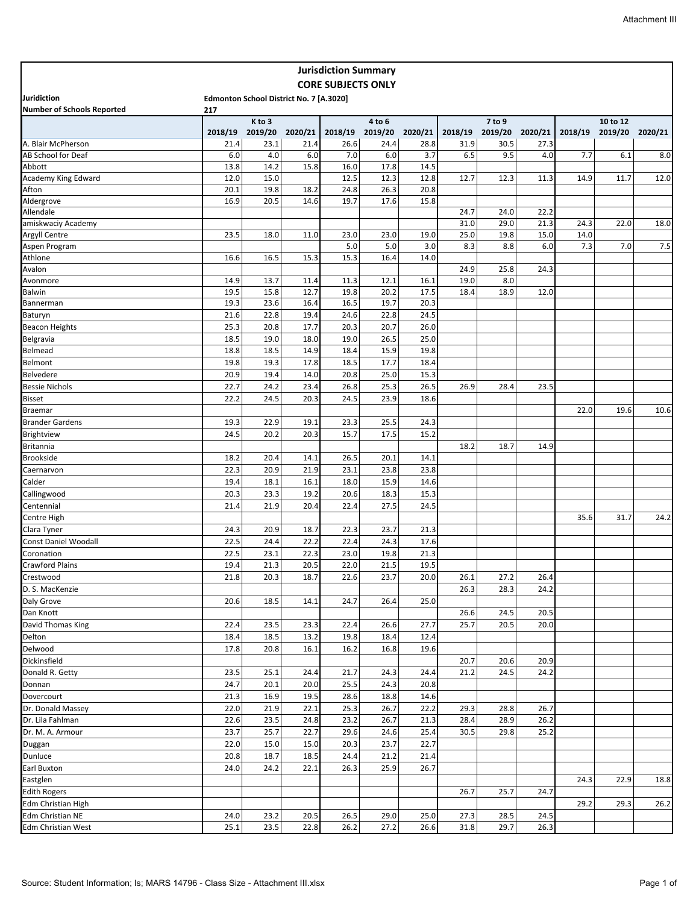|                                     |         |                                         |         | <b>Jurisdiction Summary</b> |                   |         |         |                   |         |         |                     |         |
|-------------------------------------|---------|-----------------------------------------|---------|-----------------------------|-------------------|---------|---------|-------------------|---------|---------|---------------------|---------|
|                                     |         |                                         |         | <b>CORE SUBJECTS ONLY</b>   |                   |         |         |                   |         |         |                     |         |
| <b>Juridiction</b>                  |         | Edmonton School District No. 7 [A.3020] |         |                             |                   |         |         |                   |         |         |                     |         |
| <b>Number of Schools Reported</b>   | 217     |                                         |         |                             |                   |         |         |                   |         |         |                     |         |
|                                     | 2018/19 | K to 3<br>2019/20                       | 2020/21 | 2018/19                     | 4 to 6<br>2019/20 | 2020/21 | 2018/19 | 7 to 9<br>2019/20 | 2020/21 | 2018/19 | 10 to 12<br>2019/20 | 2020/21 |
| A. Blair McPherson                  | 21.4    | 23.1                                    | 21.4    | 26.6                        | 24.4              | 28.8    | 31.9    | 30.5              | 27.3    |         |                     |         |
| AB School for Deaf                  | 6.0     | 4.0                                     | 6.0     | 7.0                         | 6.0               | 3.7     | 6.5     | 9.5               | 4.0     | 7.7     | 6.1                 | 8.0     |
| Abbott                              | 13.8    | 14.2                                    | 15.8    | 16.0                        | 17.8              | 14.5    |         |                   |         |         |                     |         |
| Academy King Edward                 | 12.0    | 15.0                                    |         | 12.5                        | 12.3              | 12.8    | 12.7    | 12.3              | 11.3    | 14.9    | 11.7                | 12.0    |
| Afton                               | 20.1    | 19.8                                    | 18.2    | 24.8                        | 26.3              | 20.8    |         |                   |         |         |                     |         |
| Aldergrove                          | 16.9    | 20.5                                    | 14.6    | 19.7                        | 17.6              | 15.8    |         |                   |         |         |                     |         |
| Allendale                           |         |                                         |         |                             |                   |         | 24.7    | 24.0              | 22.2    |         |                     |         |
| amiskwaciy Academy                  |         |                                         |         |                             |                   |         | 31.0    | 29.0              | 21.3    | 24.3    | 22.0                | 18.0    |
| Argyll Centre                       | 23.5    | 18.0                                    | 11.0    | 23.0                        | 23.0              | 19.0    | 25.0    | 19.8              | 15.0    | 14.0    |                     |         |
| Aspen Program                       |         |                                         |         | 5.0                         | 5.0               | 3.0     | 8.3     | 8.8               | 6.0     | 7.3     | 7.0                 | 7.5     |
| Athlone                             | 16.6    | 16.5                                    | 15.3    | 15.3                        | 16.4              | 14.0    |         |                   |         |         |                     |         |
| Avalon                              |         |                                         |         |                             |                   |         | 24.9    | 25.8              | 24.3    |         |                     |         |
| Avonmore                            | 14.9    | 13.7                                    | 11.4    | 11.3                        | 12.1              | 16.1    | 19.0    | 8.0               |         |         |                     |         |
| <b>Balwin</b>                       | 19.5    | 15.8                                    | 12.7    | 19.8                        | 20.2              | 17.5    | 18.4    | 18.9              | 12.0    |         |                     |         |
| Bannerman                           | 19.3    | 23.6                                    | 16.4    | 16.5                        | 19.7              | 20.3    |         |                   |         |         |                     |         |
| Baturyn                             | 21.6    | 22.8                                    | 19.4    | 24.6                        | 22.8              | 24.5    |         |                   |         |         |                     |         |
| <b>Beacon Heights</b>               | 25.3    | 20.8                                    | 17.7    | 20.3                        | 20.7              | 26.0    |         |                   |         |         |                     |         |
| Belgravia                           | 18.5    | 19.0                                    | 18.0    | 19.0                        | 26.5              | 25.0    |         |                   |         |         |                     |         |
| Belmead                             | 18.8    | 18.5                                    | 14.9    | 18.4                        | 15.9              | 19.8    |         |                   |         |         |                     |         |
| Belmont                             | 19.8    | 19.3                                    | 17.8    | 18.5                        | 17.7              | 18.4    |         |                   |         |         |                     |         |
| <b>Belvedere</b>                    | 20.9    | 19.4                                    | 14.0    | 20.8                        | 25.0              | 15.3    |         |                   |         |         |                     |         |
| <b>Bessie Nichols</b>               | 22.7    | 24.2                                    | 23.4    | 26.8                        | 25.3              | 26.5    | 26.9    | 28.4              | 23.5    |         |                     |         |
| <b>Bisset</b>                       | 22.2    | 24.5                                    | 20.3    | 24.5                        | 23.9              | 18.6    |         |                   |         |         |                     |         |
| <b>Braemar</b>                      |         |                                         |         |                             |                   |         |         |                   |         | 22.0    | 19.6                | 10.6    |
| <b>Brander Gardens</b>              | 19.3    | 22.9                                    | 19.1    | 23.3                        | 25.5              | 24.3    |         |                   |         |         |                     |         |
| <b>Brightview</b>                   | 24.5    | 20.2                                    | 20.3    | 15.7                        | 17.5              | 15.2    |         |                   |         |         |                     |         |
| <b>Britannia</b>                    |         |                                         |         |                             |                   |         | 18.2    | 18.7              | 14.9    |         |                     |         |
| <b>Brookside</b>                    | 18.2    | 20.4                                    | 14.1    | 26.5                        | 20.1              | 14.1    |         |                   |         |         |                     |         |
| Caernarvon                          | 22.3    | 20.9                                    | 21.9    | 23.1                        | 23.8              | 23.8    |         |                   |         |         |                     |         |
| Calder                              | 19.4    | 18.1                                    | 16.1    | 18.0                        | 15.9              | 14.6    |         |                   |         |         |                     |         |
| Callingwood                         | 20.3    | 23.3                                    | 19.2    | 20.6                        | 18.3              | 15.3    |         |                   |         |         |                     |         |
| Centennial                          | 21.4    | 21.9                                    | 20.4    | 22.4                        | 27.5              | 24.5    |         |                   |         |         |                     |         |
| Centre High                         |         |                                         |         |                             |                   |         |         |                   |         | 35.6    | 31.7                | 24.2    |
|                                     |         | 20.9                                    | 18.7    | 22.3                        | 23.7              | 21.3    |         |                   |         |         |                     |         |
| Clara Tyner<br>Const Daniel Woodall | 24.3    |                                         |         |                             |                   |         |         |                   |         |         |                     |         |
|                                     | 22.5    | 24.4                                    | 22.2    | 22.4                        | 24.3              | 17.6    |         |                   |         |         |                     |         |
| Coronation                          | 22.5    | 23.1                                    | 22.3    | 23.0                        | 19.8              | 21.3    |         |                   |         |         |                     |         |
| <b>Crawford Plains</b>              | 19.4    | 21.3                                    | 20.5    | 22.0                        | 21.5              | 19.5    |         |                   |         |         |                     |         |
| Crestwood                           | 21.8    | 20.3                                    | 18.7    | 22.6                        | 23.7              | 20.0    | 26.1    | 27.2              | 26.4    |         |                     |         |
| D. S. MacKenzie                     |         |                                         |         |                             |                   |         | 26.3    | 28.3              | 24.2    |         |                     |         |
| Daly Grove                          | 20.6    | 18.5                                    | 14.1    | 24.7                        | 26.4              | 25.0    |         |                   |         |         |                     |         |
| Dan Knott                           |         |                                         |         |                             |                   |         | 26.6    | 24.5              | 20.5    |         |                     |         |
| David Thomas King                   | 22.4    | 23.5                                    | 23.3    | 22.4                        | 26.6              | 27.7    | 25.7    | 20.5              | 20.0    |         |                     |         |
| Delton                              | 18.4    | 18.5                                    | 13.2    | 19.8                        | 18.4              | 12.4    |         |                   |         |         |                     |         |
| Delwood                             | 17.8    | 20.8                                    | 16.1    | 16.2                        | 16.8              | 19.6    |         |                   |         |         |                     |         |
| Dickinsfield                        |         |                                         |         |                             |                   |         | 20.7    | 20.6              | 20.9    |         |                     |         |
| Donald R. Getty                     | 23.5    | 25.1                                    | 24.4    | 21.7                        | 24.3              | 24.4    | 21.2    | 24.5              | 24.2    |         |                     |         |
| Donnan                              | 24.7    | 20.1                                    | 20.0    | 25.5                        | 24.3              | 20.8    |         |                   |         |         |                     |         |
| Dovercourt                          | 21.3    | 16.9                                    | 19.5    | 28.6                        | 18.8              | 14.6    |         |                   |         |         |                     |         |
| Dr. Donald Massey                   | 22.0    | 21.9                                    | 22.1    | 25.3                        | 26.7              | 22.2    | 29.3    | 28.8              | 26.7    |         |                     |         |
| Dr. Lila Fahlman                    | 22.6    | 23.5                                    | 24.8    | 23.2                        | 26.7              | 21.3    | 28.4    | 28.9              | 26.2    |         |                     |         |
| Dr. M. A. Armour                    | 23.7    | 25.7                                    | 22.7    | 29.6                        | 24.6              | 25.4    | 30.5    | 29.8              | 25.2    |         |                     |         |
| Duggan                              | 22.0    | 15.0                                    | 15.0    | 20.3                        | 23.7              | 22.7    |         |                   |         |         |                     |         |
| Dunluce                             | 20.8    | 18.7                                    | 18.5    | 24.4                        | 21.2              | 21.4    |         |                   |         |         |                     |         |
| <b>Earl Buxton</b>                  | 24.0    | 24.2                                    | 22.1    | 26.3                        | 25.9              | 26.7    |         |                   |         |         |                     |         |
| Eastglen                            |         |                                         |         |                             |                   |         |         |                   |         | 24.3    | 22.9                | 18.8    |
| <b>Edith Rogers</b>                 |         |                                         |         |                             |                   |         | 26.7    | 25.7              | 24.7    |         |                     |         |
| Edm Christian High                  |         |                                         |         |                             |                   |         |         |                   |         | 29.2    | 29.3                | 26.2    |
| Edm Christian NE                    | 24.0    | 23.2                                    | 20.5    | 26.5                        | 29.0              | 25.0    | 27.3    | 28.5              | 24.5    |         |                     |         |
| Edm Christian West                  | 25.1    | 23.5                                    | 22.8    | 26.2                        | 27.2              | 26.6    | 31.8    | 29.7              | 26.3    |         |                     |         |
|                                     |         |                                         |         |                             |                   |         |         |                   |         |         |                     |         |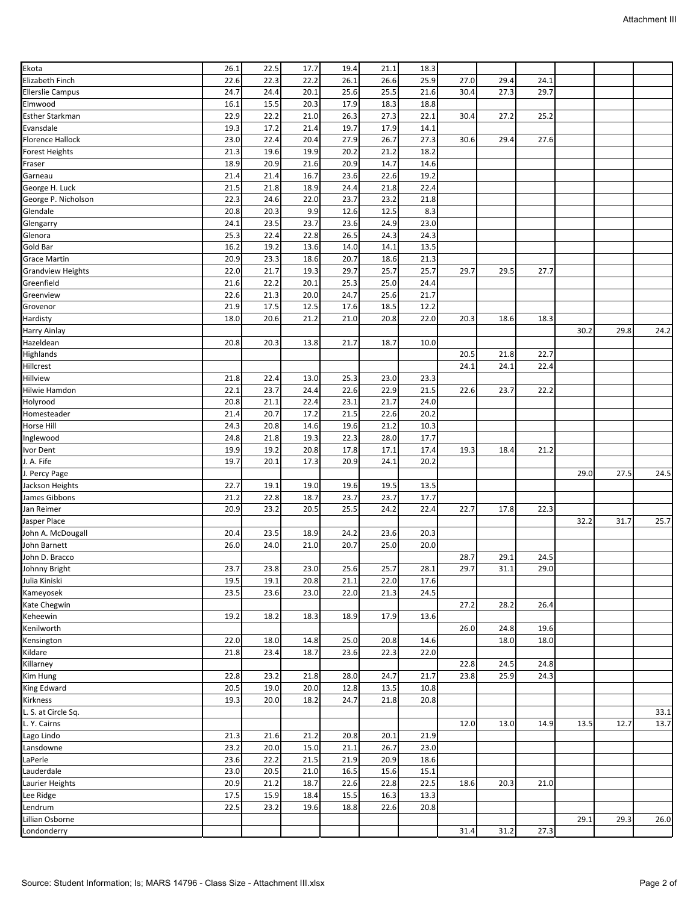| Ekota                    | 26.1 | 22.5 | 17.7 | 19.4 | 21.1 | 18.3 |      |      |      |      |      |      |
|--------------------------|------|------|------|------|------|------|------|------|------|------|------|------|
| Elizabeth Finch          | 22.6 | 22.3 | 22.2 | 26.1 | 26.6 | 25.9 | 27.0 | 29.4 | 24.1 |      |      |      |
| <b>Ellerslie Campus</b>  |      |      |      |      | 25.5 |      | 30.4 | 27.3 | 29.7 |      |      |      |
|                          | 24.7 | 24.4 | 20.1 | 25.6 |      | 21.6 |      |      |      |      |      |      |
| Elmwood                  | 16.1 | 15.5 | 20.3 | 17.9 | 18.3 | 18.8 |      |      |      |      |      |      |
| <b>Esther Starkman</b>   | 22.9 | 22.2 | 21.0 | 26.3 | 27.3 | 22.1 | 30.4 | 27.2 | 25.2 |      |      |      |
| Evansdale                | 19.3 | 17.2 | 21.4 | 19.7 | 17.9 | 14.1 |      |      |      |      |      |      |
| Florence Hallock         | 23.0 | 22.4 | 20.4 | 27.9 | 26.7 | 27.3 | 30.6 | 29.4 | 27.6 |      |      |      |
| <b>Forest Heights</b>    | 21.3 | 19.6 | 19.9 | 20.2 | 21.2 | 18.2 |      |      |      |      |      |      |
| Fraser                   | 18.9 | 20.9 | 21.6 | 20.9 | 14.7 | 14.6 |      |      |      |      |      |      |
| Garneau                  | 21.4 | 21.4 | 16.7 | 23.6 | 22.6 | 19.2 |      |      |      |      |      |      |
| George H. Luck           | 21.5 | 21.8 | 18.9 | 24.4 | 21.8 | 22.4 |      |      |      |      |      |      |
| George P. Nicholson      | 22.3 | 24.6 | 22.0 | 23.7 | 23.2 | 21.8 |      |      |      |      |      |      |
| Glendale                 | 20.8 | 20.3 | 9.9  | 12.6 | 12.5 | 8.3  |      |      |      |      |      |      |
|                          | 24.1 |      |      | 23.6 | 24.9 |      |      |      |      |      |      |      |
| Glengarry                |      | 23.5 | 23.7 |      |      | 23.0 |      |      |      |      |      |      |
| Glenora                  | 25.3 | 22.4 | 22.8 | 26.5 | 24.3 | 24.3 |      |      |      |      |      |      |
| Gold Bar                 | 16.2 | 19.2 | 13.6 | 14.0 | 14.1 | 13.5 |      |      |      |      |      |      |
| <b>Grace Martin</b>      | 20.9 | 23.3 | 18.6 | 20.7 | 18.6 | 21.3 |      |      |      |      |      |      |
| <b>Grandview Heights</b> | 22.0 | 21.7 | 19.3 | 29.7 | 25.7 | 25.7 | 29.7 | 29.5 | 27.7 |      |      |      |
| Greenfield               | 21.6 | 22.2 | 20.1 | 25.3 | 25.0 | 24.4 |      |      |      |      |      |      |
| Greenview                | 22.6 | 21.3 | 20.0 | 24.7 | 25.6 | 21.7 |      |      |      |      |      |      |
| Grovenor                 | 21.9 | 17.5 | 12.5 | 17.6 | 18.5 | 12.2 |      |      |      |      |      |      |
| Hardisty                 | 18.0 | 20.6 | 21.2 | 21.0 | 20.8 | 22.0 | 20.3 | 18.6 | 18.3 |      |      |      |
| Harry Ainlay             |      |      |      |      |      |      |      |      |      | 30.2 | 29.8 | 24.2 |
| Hazeldean                | 20.8 | 20.3 | 13.8 | 21.7 | 18.7 | 10.0 |      |      |      |      |      |      |
|                          |      |      |      |      |      |      |      |      |      |      |      |      |
| Highlands                |      |      |      |      |      |      | 20.5 | 21.8 | 22.7 |      |      |      |
| Hillcrest                |      |      |      |      |      |      | 24.1 | 24.1 | 22.4 |      |      |      |
| Hillview                 | 21.8 | 22.4 | 13.0 | 25.3 | 23.0 | 23.3 |      |      |      |      |      |      |
| Hilwie Hamdon            | 22.1 | 23.7 | 24.4 | 22.6 | 22.9 | 21.5 | 22.6 | 23.7 | 22.2 |      |      |      |
| Holyrood                 | 20.8 | 21.1 | 22.4 | 23.1 | 21.7 | 24.0 |      |      |      |      |      |      |
| Homesteader              | 21.4 | 20.7 | 17.2 | 21.5 | 22.6 | 20.2 |      |      |      |      |      |      |
| Horse Hill               | 24.3 | 20.8 | 14.6 | 19.6 | 21.2 | 10.3 |      |      |      |      |      |      |
| Inglewood                | 24.8 | 21.8 | 19.3 | 22.3 | 28.0 | 17.7 |      |      |      |      |      |      |
| Ivor Dent                | 19.9 | 19.2 | 20.8 | 17.8 | 17.1 | 17.4 | 19.3 | 18.4 | 21.2 |      |      |      |
| J. A. Fife               | 19.7 | 20.1 | 17.3 | 20.9 | 24.1 | 20.2 |      |      |      |      |      |      |
|                          |      |      |      |      |      |      |      |      |      |      | 27.5 | 24.5 |
| J. Percy Page            |      |      |      |      |      |      |      |      |      | 29.0 |      |      |
| Jackson Heights          | 22.7 | 19.1 | 19.0 | 19.6 | 19.5 | 13.5 |      |      |      |      |      |      |
| James Gibbons            | 21.2 | 22.8 | 18.7 | 23.7 | 23.7 | 17.7 |      |      |      |      |      |      |
| Jan Reimer               | 20.9 | 23.2 | 20.5 | 25.5 | 24.2 | 22.4 | 22.7 | 17.8 | 22.3 |      |      |      |
| Jasper Place             |      |      |      |      |      |      |      |      |      | 32.2 | 31.7 | 25.7 |
| John A. McDougall        | 20.4 | 23.5 | 18.9 | 24.2 | 23.6 | 20.3 |      |      |      |      |      |      |
| John Barnett             | 26.0 | 24.0 | 21.0 | 20.7 | 25.0 | 20.0 |      |      |      |      |      |      |
| John D. Bracco           |      |      |      |      |      |      | 28.7 | 29.1 | 24.5 |      |      |      |
| Johnny Bright            | 23.7 | 23.8 | 23.0 | 25.6 | 25.7 | 28.1 | 29.7 | 31.1 | 29.0 |      |      |      |
| Julia Kiniski            | 19.5 | 19.1 | 20.8 | 21.1 | 22.0 | 17.6 |      |      |      |      |      |      |
| Kameyosek                | 23.5 | 23.6 | 23.0 | 22.0 | 21.3 | 24.5 |      |      |      |      |      |      |
|                          |      |      |      |      |      |      |      |      |      |      |      |      |
| Kate Chegwin             |      |      |      |      |      |      | 27.2 | 28.2 | 26.4 |      |      |      |
| Keheewin                 | 19.2 | 18.2 | 18.3 | 18.9 | 17.9 | 13.6 |      |      |      |      |      |      |
| Kenilworth               |      |      |      |      |      |      | 26.0 | 24.8 | 19.6 |      |      |      |
| Kensington               | 22.0 | 18.0 | 14.8 | 25.0 | 20.8 | 14.6 |      | 18.0 | 18.0 |      |      |      |
| Kildare                  | 21.8 | 23.4 | 18.7 | 23.6 | 22.3 | 22.0 |      |      |      |      |      |      |
| Killarney                |      |      |      |      |      |      | 22.8 | 24.5 | 24.8 |      |      |      |
| Kim Hung                 | 22.8 | 23.2 | 21.8 | 28.0 | 24.7 | 21.7 | 23.8 | 25.9 | 24.3 |      |      |      |
| King Edward              | 20.5 | 19.0 | 20.0 | 12.8 | 13.5 | 10.8 |      |      |      |      |      |      |
| Kirkness                 | 19.3 | 20.0 | 18.2 | 24.7 | 21.8 | 20.8 |      |      |      |      |      |      |
| L. S. at Circle Sq.      |      |      |      |      |      |      |      |      |      |      |      | 33.1 |
| L. Y. Cairns             |      |      |      |      |      |      | 12.0 | 13.0 | 14.9 | 13.5 | 12.7 | 13.7 |
|                          |      |      |      |      |      |      |      |      |      |      |      |      |
| Lago Lindo               | 21.3 | 21.6 | 21.2 | 20.8 | 20.1 | 21.9 |      |      |      |      |      |      |
| Lansdowne                | 23.2 | 20.0 | 15.0 | 21.1 | 26.7 | 23.0 |      |      |      |      |      |      |
| LaPerle                  | 23.6 | 22.2 | 21.5 | 21.9 | 20.9 | 18.6 |      |      |      |      |      |      |
| Lauderdale               | 23.0 | 20.5 | 21.0 | 16.5 | 15.6 | 15.1 |      |      |      |      |      |      |
| Laurier Heights          | 20.9 | 21.2 | 18.7 | 22.6 | 22.8 | 22.5 | 18.6 | 20.3 | 21.0 |      |      |      |
| Lee Ridge                | 17.5 | 15.9 | 18.4 | 15.5 | 16.3 | 13.3 |      |      |      |      |      |      |
| Lendrum                  | 22.5 | 23.2 | 19.6 | 18.8 | 22.6 | 20.8 |      |      |      |      |      |      |
| Lillian Osborne          |      |      |      |      |      |      |      |      |      | 29.1 | 29.3 | 26.0 |
| Londonderry              |      |      |      |      |      |      | 31.4 | 31.2 | 27.3 |      |      |      |
|                          |      |      |      |      |      |      |      |      |      |      |      |      |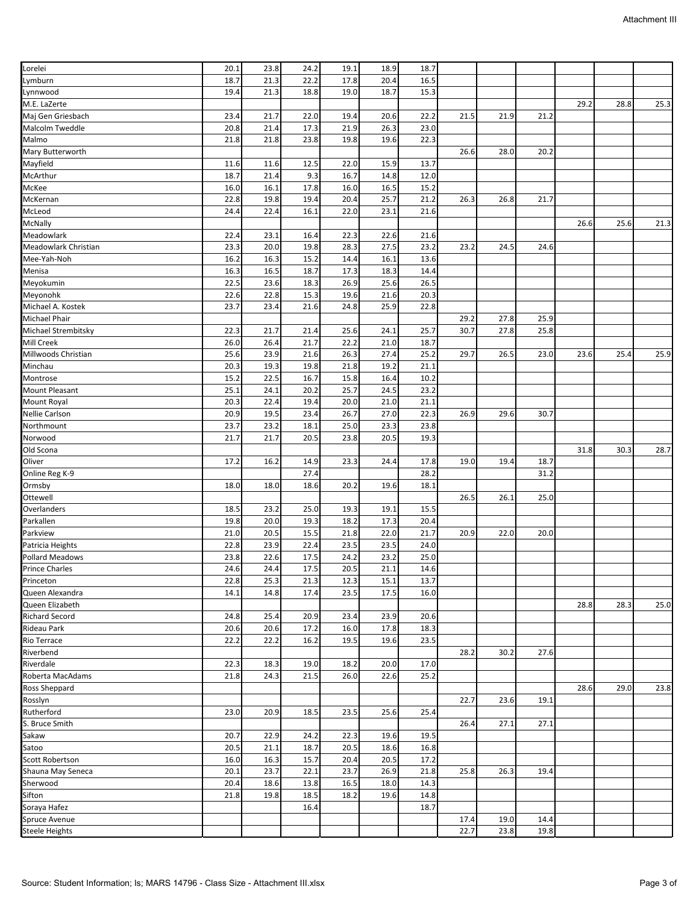| 20.1<br>23.8<br>24.2<br>19.1<br>18.9<br>18.7<br>Lymburn<br>21.3<br>18.7<br>22.2<br>17.8<br>20.4<br>16.5<br>21.3<br>18.8<br>19.0<br>18.7<br>15.3<br>19.4<br>29.2<br>28.8<br>25.3<br>23.4<br>21.7<br>22.2<br>21.5<br>21.9<br>21.2<br>22.0<br>19.4<br>20.6<br>Malcolm Tweddle<br>21.9<br>20.8<br>21.4<br>17.3<br>26.3<br>23.0<br>Malmo<br>21.8<br>21.8<br>23.8<br>19.8<br>19.6<br>22.3<br>Mary Butterworth<br>26.6<br>28.0<br>20.2<br>Mayfield<br>22.0<br>15.9<br>13.7<br>11.6<br>11.6<br>12.5<br>McArthur<br>9.3<br>18.7<br>21.4<br>16.7<br>14.8<br>12.0<br>McKee<br>16.0<br>16.1<br>17.8<br>16.0<br>16.5<br>15.2<br>22.8<br>19.4<br>20.4<br>25.7<br>21.2<br>26.3<br>26.8<br>21.7<br>19.8<br>McKernan<br>McLeod<br>22.0<br>24.4<br>22.4<br>16.1<br>23.1<br>21.6<br>McNally<br>26.6<br>25.6<br>21.3<br>Meadowlark<br>16.4<br>22.3<br>22.4<br>23.1<br>22.6<br>21.6<br>28.3<br>Meadowlark Christian<br>23.3<br>20.0<br>19.8<br>27.5<br>23.2<br>23.2<br>24.5<br>24.6<br>Mee-Yah-Noh<br>16.2<br>16.3<br>15.2<br>14.4<br>16.1<br>13.6<br>Menisa<br>16.3<br>18.7<br>17.3<br>18.3<br>14.4<br>16.5<br>22.5<br>18.3<br>26.9<br>25.6<br>26.5<br>23.6<br>22.6<br>22.8<br>15.3<br>19.6<br>21.6<br>20.3<br>Michael A. Kostek<br>23.7<br>24.8<br>25.9<br>22.8<br>23.4<br>21.6<br>29.2<br>27.8<br>25.9<br>27.8<br>Michael Strembitsky<br>22.3<br>21.7<br>25.6<br>24.1<br>25.7<br>30.7<br>25.8<br>21.4<br>Mill Creek<br>26.0<br>26.4<br>21.7<br>22.2<br>21.0<br>18.7<br>Millwoods Christian<br>25.6<br>23.9<br>21.6<br>26.3<br>27.4<br>25.2<br>26.5<br>25.9<br>29.7<br>23.0<br>23.6<br>25.4<br>Minchau<br>20.3<br>19.3<br>19.8<br>21.8<br>19.2<br>21.1<br>15.2<br>22.5<br>16.7<br>15.8<br>16.4<br>10.2<br>Montrose<br>25.7<br>25.1<br>24.1<br>20.2<br>24.5<br>23.2<br><b>Mount Pleasant</b><br>Mount Royal<br>20.3<br>22.4<br>19.4<br>20.0<br>21.0<br>21.1<br><b>Nellie Carlson</b><br>26.7<br>20.9<br>19.5<br>23.4<br>27.0<br>22.3<br>26.9<br>29.6<br>30.7<br>23.7<br>23.2<br>18.1<br>25.0<br>23.8<br>23.3<br>21.7<br>21.7<br>20.5<br>23.8<br>20.5<br>19.3<br>Old Scona<br>31.8<br>30.3<br>28.7<br>17.2<br>16.2<br>23.3<br>17.8<br>19.0<br>19.4<br>18.7<br>14.9<br>24.4<br>27.4<br>28.2<br>31.2<br>Ormsby<br>18.6<br>18.0<br>18.0<br>20.2<br>19.6<br>18.1<br>Ottewell<br>26.5<br>26.1<br>25.0<br>Overlanders<br>23.2<br>25.0<br>19.3<br>19.1<br>15.5<br>18.5<br>Parkallen<br>19.8<br>20.0<br>19.3<br>18.2<br>17.3<br>20.4<br>Parkview<br>21.0<br>20.5<br>15.5<br>21.8<br>22.0<br>21.7<br>20.9<br>22.0<br>20.0<br>Patricia Heights<br>22.8<br>22.4<br>23.5<br>23.5<br>24.0<br>23.9<br><b>Pollard Meadows</b><br>24.2<br>23.2<br>25.0<br>23.8<br>22.6<br>17.5<br>24.4<br>20.5<br>21.1<br><b>Prince Charles</b><br>17.5<br>14.6<br>24.6<br>Princeton<br>22.8<br>12.3<br>15.1<br>13.7<br>25.3<br>21.3<br>Queen Alexandra<br>14.1<br>14.8<br>17.4<br>23.5<br>17.5<br>16.0<br>28.8<br>25.0<br>Queen Elizabeth<br>28.3<br><b>Richard Secord</b><br>24.8<br>25.4<br>20.9<br>23.4<br>23.9<br>20.6<br><b>Rideau Park</b><br>20.6<br>20.6<br>17.2<br>16.0<br>17.8<br>18.3<br>Rio Terrace<br>22.2<br>16.2<br>23.5<br>22.2<br>19.5<br>19.6<br>28.2<br>30.2<br>27.6<br>22.3<br>18.3<br>19.0<br>18.2<br>20.0<br>17.0<br>24.3<br>25.2<br>21.8<br>21.5<br>26.0<br>22.6<br>Ross Sheppard<br>28.6<br>23.8<br>29.0<br>23.6<br>Rosslyn<br>22.7<br>19.1<br>Rutherford<br>20.9<br>23.0<br>18.5<br>23.5<br>25.6<br>25.4<br>S. Bruce Smith<br>27.1<br>27.1<br>26.4<br>Sakaw<br>20.7<br>22.9<br>24.2<br>22.3<br>19.6<br>19.5<br>Satoo<br>18.7<br>20.5<br>20.5<br>21.1<br>18.6<br>16.8<br>Scott Robertson<br>16.0<br>16.3<br>15.7<br>20.4<br>20.5<br>17.2<br>Shauna May Seneca<br>23.7<br>22.1<br>23.7<br>21.8<br>25.8<br>26.3<br>19.4<br>20.1<br>26.9<br>Sherwood<br>20.4<br>18.6<br>13.8<br>16.5<br>18.0<br>14.3<br>18.2<br>14.8<br>21.8<br>19.8<br>18.5<br>19.6<br>16.4<br>18.7<br>19.0<br>17.4<br>14.4<br>23.8<br>19.8<br>22.7 |                       |  |  |  |  |  |  |
|---------------------------------------------------------------------------------------------------------------------------------------------------------------------------------------------------------------------------------------------------------------------------------------------------------------------------------------------------------------------------------------------------------------------------------------------------------------------------------------------------------------------------------------------------------------------------------------------------------------------------------------------------------------------------------------------------------------------------------------------------------------------------------------------------------------------------------------------------------------------------------------------------------------------------------------------------------------------------------------------------------------------------------------------------------------------------------------------------------------------------------------------------------------------------------------------------------------------------------------------------------------------------------------------------------------------------------------------------------------------------------------------------------------------------------------------------------------------------------------------------------------------------------------------------------------------------------------------------------------------------------------------------------------------------------------------------------------------------------------------------------------------------------------------------------------------------------------------------------------------------------------------------------------------------------------------------------------------------------------------------------------------------------------------------------------------------------------------------------------------------------------------------------------------------------------------------------------------------------------------------------------------------------------------------------------------------------------------------------------------------------------------------------------------------------------------------------------------------------------------------------------------------------------------------------------------------------------------------------------------------------------------------------------------------------------------------------------------------------------------------------------------------------------------------------------------------------------------------------------------------------------------------------------------------------------------------------------------------------------------------------------------------------------------------------------------------------------------------------------------------------------------------------------------------------------------------------------------------------------------------------------------------------------------------------------------------------------------------------------------------------------------------------------------------------------------------------------------------------------------------------------------------------------------------------------------------------------------------------------------------------------------------------------------------------------------------------------------------------------------------------------------------------------------------------------------------------------------------------------------------------------|-----------------------|--|--|--|--|--|--|
|                                                                                                                                                                                                                                                                                                                                                                                                                                                                                                                                                                                                                                                                                                                                                                                                                                                                                                                                                                                                                                                                                                                                                                                                                                                                                                                                                                                                                                                                                                                                                                                                                                                                                                                                                                                                                                                                                                                                                                                                                                                                                                                                                                                                                                                                                                                                                                                                                                                                                                                                                                                                                                                                                                                                                                                                                                                                                                                                                                                                                                                                                                                                                                                                                                                                                                                                                                                                                                                                                                                                                                                                                                                                                                                                                                                                                                                                                       | Lorelei               |  |  |  |  |  |  |
|                                                                                                                                                                                                                                                                                                                                                                                                                                                                                                                                                                                                                                                                                                                                                                                                                                                                                                                                                                                                                                                                                                                                                                                                                                                                                                                                                                                                                                                                                                                                                                                                                                                                                                                                                                                                                                                                                                                                                                                                                                                                                                                                                                                                                                                                                                                                                                                                                                                                                                                                                                                                                                                                                                                                                                                                                                                                                                                                                                                                                                                                                                                                                                                                                                                                                                                                                                                                                                                                                                                                                                                                                                                                                                                                                                                                                                                                                       |                       |  |  |  |  |  |  |
|                                                                                                                                                                                                                                                                                                                                                                                                                                                                                                                                                                                                                                                                                                                                                                                                                                                                                                                                                                                                                                                                                                                                                                                                                                                                                                                                                                                                                                                                                                                                                                                                                                                                                                                                                                                                                                                                                                                                                                                                                                                                                                                                                                                                                                                                                                                                                                                                                                                                                                                                                                                                                                                                                                                                                                                                                                                                                                                                                                                                                                                                                                                                                                                                                                                                                                                                                                                                                                                                                                                                                                                                                                                                                                                                                                                                                                                                                       | Lynnwood              |  |  |  |  |  |  |
|                                                                                                                                                                                                                                                                                                                                                                                                                                                                                                                                                                                                                                                                                                                                                                                                                                                                                                                                                                                                                                                                                                                                                                                                                                                                                                                                                                                                                                                                                                                                                                                                                                                                                                                                                                                                                                                                                                                                                                                                                                                                                                                                                                                                                                                                                                                                                                                                                                                                                                                                                                                                                                                                                                                                                                                                                                                                                                                                                                                                                                                                                                                                                                                                                                                                                                                                                                                                                                                                                                                                                                                                                                                                                                                                                                                                                                                                                       | M.E. LaZerte          |  |  |  |  |  |  |
|                                                                                                                                                                                                                                                                                                                                                                                                                                                                                                                                                                                                                                                                                                                                                                                                                                                                                                                                                                                                                                                                                                                                                                                                                                                                                                                                                                                                                                                                                                                                                                                                                                                                                                                                                                                                                                                                                                                                                                                                                                                                                                                                                                                                                                                                                                                                                                                                                                                                                                                                                                                                                                                                                                                                                                                                                                                                                                                                                                                                                                                                                                                                                                                                                                                                                                                                                                                                                                                                                                                                                                                                                                                                                                                                                                                                                                                                                       | Maj Gen Griesbach     |  |  |  |  |  |  |
|                                                                                                                                                                                                                                                                                                                                                                                                                                                                                                                                                                                                                                                                                                                                                                                                                                                                                                                                                                                                                                                                                                                                                                                                                                                                                                                                                                                                                                                                                                                                                                                                                                                                                                                                                                                                                                                                                                                                                                                                                                                                                                                                                                                                                                                                                                                                                                                                                                                                                                                                                                                                                                                                                                                                                                                                                                                                                                                                                                                                                                                                                                                                                                                                                                                                                                                                                                                                                                                                                                                                                                                                                                                                                                                                                                                                                                                                                       |                       |  |  |  |  |  |  |
|                                                                                                                                                                                                                                                                                                                                                                                                                                                                                                                                                                                                                                                                                                                                                                                                                                                                                                                                                                                                                                                                                                                                                                                                                                                                                                                                                                                                                                                                                                                                                                                                                                                                                                                                                                                                                                                                                                                                                                                                                                                                                                                                                                                                                                                                                                                                                                                                                                                                                                                                                                                                                                                                                                                                                                                                                                                                                                                                                                                                                                                                                                                                                                                                                                                                                                                                                                                                                                                                                                                                                                                                                                                                                                                                                                                                                                                                                       |                       |  |  |  |  |  |  |
|                                                                                                                                                                                                                                                                                                                                                                                                                                                                                                                                                                                                                                                                                                                                                                                                                                                                                                                                                                                                                                                                                                                                                                                                                                                                                                                                                                                                                                                                                                                                                                                                                                                                                                                                                                                                                                                                                                                                                                                                                                                                                                                                                                                                                                                                                                                                                                                                                                                                                                                                                                                                                                                                                                                                                                                                                                                                                                                                                                                                                                                                                                                                                                                                                                                                                                                                                                                                                                                                                                                                                                                                                                                                                                                                                                                                                                                                                       |                       |  |  |  |  |  |  |
|                                                                                                                                                                                                                                                                                                                                                                                                                                                                                                                                                                                                                                                                                                                                                                                                                                                                                                                                                                                                                                                                                                                                                                                                                                                                                                                                                                                                                                                                                                                                                                                                                                                                                                                                                                                                                                                                                                                                                                                                                                                                                                                                                                                                                                                                                                                                                                                                                                                                                                                                                                                                                                                                                                                                                                                                                                                                                                                                                                                                                                                                                                                                                                                                                                                                                                                                                                                                                                                                                                                                                                                                                                                                                                                                                                                                                                                                                       |                       |  |  |  |  |  |  |
|                                                                                                                                                                                                                                                                                                                                                                                                                                                                                                                                                                                                                                                                                                                                                                                                                                                                                                                                                                                                                                                                                                                                                                                                                                                                                                                                                                                                                                                                                                                                                                                                                                                                                                                                                                                                                                                                                                                                                                                                                                                                                                                                                                                                                                                                                                                                                                                                                                                                                                                                                                                                                                                                                                                                                                                                                                                                                                                                                                                                                                                                                                                                                                                                                                                                                                                                                                                                                                                                                                                                                                                                                                                                                                                                                                                                                                                                                       |                       |  |  |  |  |  |  |
|                                                                                                                                                                                                                                                                                                                                                                                                                                                                                                                                                                                                                                                                                                                                                                                                                                                                                                                                                                                                                                                                                                                                                                                                                                                                                                                                                                                                                                                                                                                                                                                                                                                                                                                                                                                                                                                                                                                                                                                                                                                                                                                                                                                                                                                                                                                                                                                                                                                                                                                                                                                                                                                                                                                                                                                                                                                                                                                                                                                                                                                                                                                                                                                                                                                                                                                                                                                                                                                                                                                                                                                                                                                                                                                                                                                                                                                                                       |                       |  |  |  |  |  |  |
|                                                                                                                                                                                                                                                                                                                                                                                                                                                                                                                                                                                                                                                                                                                                                                                                                                                                                                                                                                                                                                                                                                                                                                                                                                                                                                                                                                                                                                                                                                                                                                                                                                                                                                                                                                                                                                                                                                                                                                                                                                                                                                                                                                                                                                                                                                                                                                                                                                                                                                                                                                                                                                                                                                                                                                                                                                                                                                                                                                                                                                                                                                                                                                                                                                                                                                                                                                                                                                                                                                                                                                                                                                                                                                                                                                                                                                                                                       |                       |  |  |  |  |  |  |
|                                                                                                                                                                                                                                                                                                                                                                                                                                                                                                                                                                                                                                                                                                                                                                                                                                                                                                                                                                                                                                                                                                                                                                                                                                                                                                                                                                                                                                                                                                                                                                                                                                                                                                                                                                                                                                                                                                                                                                                                                                                                                                                                                                                                                                                                                                                                                                                                                                                                                                                                                                                                                                                                                                                                                                                                                                                                                                                                                                                                                                                                                                                                                                                                                                                                                                                                                                                                                                                                                                                                                                                                                                                                                                                                                                                                                                                                                       |                       |  |  |  |  |  |  |
|                                                                                                                                                                                                                                                                                                                                                                                                                                                                                                                                                                                                                                                                                                                                                                                                                                                                                                                                                                                                                                                                                                                                                                                                                                                                                                                                                                                                                                                                                                                                                                                                                                                                                                                                                                                                                                                                                                                                                                                                                                                                                                                                                                                                                                                                                                                                                                                                                                                                                                                                                                                                                                                                                                                                                                                                                                                                                                                                                                                                                                                                                                                                                                                                                                                                                                                                                                                                                                                                                                                                                                                                                                                                                                                                                                                                                                                                                       |                       |  |  |  |  |  |  |
|                                                                                                                                                                                                                                                                                                                                                                                                                                                                                                                                                                                                                                                                                                                                                                                                                                                                                                                                                                                                                                                                                                                                                                                                                                                                                                                                                                                                                                                                                                                                                                                                                                                                                                                                                                                                                                                                                                                                                                                                                                                                                                                                                                                                                                                                                                                                                                                                                                                                                                                                                                                                                                                                                                                                                                                                                                                                                                                                                                                                                                                                                                                                                                                                                                                                                                                                                                                                                                                                                                                                                                                                                                                                                                                                                                                                                                                                                       |                       |  |  |  |  |  |  |
|                                                                                                                                                                                                                                                                                                                                                                                                                                                                                                                                                                                                                                                                                                                                                                                                                                                                                                                                                                                                                                                                                                                                                                                                                                                                                                                                                                                                                                                                                                                                                                                                                                                                                                                                                                                                                                                                                                                                                                                                                                                                                                                                                                                                                                                                                                                                                                                                                                                                                                                                                                                                                                                                                                                                                                                                                                                                                                                                                                                                                                                                                                                                                                                                                                                                                                                                                                                                                                                                                                                                                                                                                                                                                                                                                                                                                                                                                       |                       |  |  |  |  |  |  |
|                                                                                                                                                                                                                                                                                                                                                                                                                                                                                                                                                                                                                                                                                                                                                                                                                                                                                                                                                                                                                                                                                                                                                                                                                                                                                                                                                                                                                                                                                                                                                                                                                                                                                                                                                                                                                                                                                                                                                                                                                                                                                                                                                                                                                                                                                                                                                                                                                                                                                                                                                                                                                                                                                                                                                                                                                                                                                                                                                                                                                                                                                                                                                                                                                                                                                                                                                                                                                                                                                                                                                                                                                                                                                                                                                                                                                                                                                       |                       |  |  |  |  |  |  |
|                                                                                                                                                                                                                                                                                                                                                                                                                                                                                                                                                                                                                                                                                                                                                                                                                                                                                                                                                                                                                                                                                                                                                                                                                                                                                                                                                                                                                                                                                                                                                                                                                                                                                                                                                                                                                                                                                                                                                                                                                                                                                                                                                                                                                                                                                                                                                                                                                                                                                                                                                                                                                                                                                                                                                                                                                                                                                                                                                                                                                                                                                                                                                                                                                                                                                                                                                                                                                                                                                                                                                                                                                                                                                                                                                                                                                                                                                       |                       |  |  |  |  |  |  |
|                                                                                                                                                                                                                                                                                                                                                                                                                                                                                                                                                                                                                                                                                                                                                                                                                                                                                                                                                                                                                                                                                                                                                                                                                                                                                                                                                                                                                                                                                                                                                                                                                                                                                                                                                                                                                                                                                                                                                                                                                                                                                                                                                                                                                                                                                                                                                                                                                                                                                                                                                                                                                                                                                                                                                                                                                                                                                                                                                                                                                                                                                                                                                                                                                                                                                                                                                                                                                                                                                                                                                                                                                                                                                                                                                                                                                                                                                       |                       |  |  |  |  |  |  |
|                                                                                                                                                                                                                                                                                                                                                                                                                                                                                                                                                                                                                                                                                                                                                                                                                                                                                                                                                                                                                                                                                                                                                                                                                                                                                                                                                                                                                                                                                                                                                                                                                                                                                                                                                                                                                                                                                                                                                                                                                                                                                                                                                                                                                                                                                                                                                                                                                                                                                                                                                                                                                                                                                                                                                                                                                                                                                                                                                                                                                                                                                                                                                                                                                                                                                                                                                                                                                                                                                                                                                                                                                                                                                                                                                                                                                                                                                       | Meyokumin             |  |  |  |  |  |  |
|                                                                                                                                                                                                                                                                                                                                                                                                                                                                                                                                                                                                                                                                                                                                                                                                                                                                                                                                                                                                                                                                                                                                                                                                                                                                                                                                                                                                                                                                                                                                                                                                                                                                                                                                                                                                                                                                                                                                                                                                                                                                                                                                                                                                                                                                                                                                                                                                                                                                                                                                                                                                                                                                                                                                                                                                                                                                                                                                                                                                                                                                                                                                                                                                                                                                                                                                                                                                                                                                                                                                                                                                                                                                                                                                                                                                                                                                                       | Meyonohk              |  |  |  |  |  |  |
|                                                                                                                                                                                                                                                                                                                                                                                                                                                                                                                                                                                                                                                                                                                                                                                                                                                                                                                                                                                                                                                                                                                                                                                                                                                                                                                                                                                                                                                                                                                                                                                                                                                                                                                                                                                                                                                                                                                                                                                                                                                                                                                                                                                                                                                                                                                                                                                                                                                                                                                                                                                                                                                                                                                                                                                                                                                                                                                                                                                                                                                                                                                                                                                                                                                                                                                                                                                                                                                                                                                                                                                                                                                                                                                                                                                                                                                                                       |                       |  |  |  |  |  |  |
|                                                                                                                                                                                                                                                                                                                                                                                                                                                                                                                                                                                                                                                                                                                                                                                                                                                                                                                                                                                                                                                                                                                                                                                                                                                                                                                                                                                                                                                                                                                                                                                                                                                                                                                                                                                                                                                                                                                                                                                                                                                                                                                                                                                                                                                                                                                                                                                                                                                                                                                                                                                                                                                                                                                                                                                                                                                                                                                                                                                                                                                                                                                                                                                                                                                                                                                                                                                                                                                                                                                                                                                                                                                                                                                                                                                                                                                                                       | <b>Michael Phair</b>  |  |  |  |  |  |  |
|                                                                                                                                                                                                                                                                                                                                                                                                                                                                                                                                                                                                                                                                                                                                                                                                                                                                                                                                                                                                                                                                                                                                                                                                                                                                                                                                                                                                                                                                                                                                                                                                                                                                                                                                                                                                                                                                                                                                                                                                                                                                                                                                                                                                                                                                                                                                                                                                                                                                                                                                                                                                                                                                                                                                                                                                                                                                                                                                                                                                                                                                                                                                                                                                                                                                                                                                                                                                                                                                                                                                                                                                                                                                                                                                                                                                                                                                                       |                       |  |  |  |  |  |  |
|                                                                                                                                                                                                                                                                                                                                                                                                                                                                                                                                                                                                                                                                                                                                                                                                                                                                                                                                                                                                                                                                                                                                                                                                                                                                                                                                                                                                                                                                                                                                                                                                                                                                                                                                                                                                                                                                                                                                                                                                                                                                                                                                                                                                                                                                                                                                                                                                                                                                                                                                                                                                                                                                                                                                                                                                                                                                                                                                                                                                                                                                                                                                                                                                                                                                                                                                                                                                                                                                                                                                                                                                                                                                                                                                                                                                                                                                                       |                       |  |  |  |  |  |  |
|                                                                                                                                                                                                                                                                                                                                                                                                                                                                                                                                                                                                                                                                                                                                                                                                                                                                                                                                                                                                                                                                                                                                                                                                                                                                                                                                                                                                                                                                                                                                                                                                                                                                                                                                                                                                                                                                                                                                                                                                                                                                                                                                                                                                                                                                                                                                                                                                                                                                                                                                                                                                                                                                                                                                                                                                                                                                                                                                                                                                                                                                                                                                                                                                                                                                                                                                                                                                                                                                                                                                                                                                                                                                                                                                                                                                                                                                                       |                       |  |  |  |  |  |  |
|                                                                                                                                                                                                                                                                                                                                                                                                                                                                                                                                                                                                                                                                                                                                                                                                                                                                                                                                                                                                                                                                                                                                                                                                                                                                                                                                                                                                                                                                                                                                                                                                                                                                                                                                                                                                                                                                                                                                                                                                                                                                                                                                                                                                                                                                                                                                                                                                                                                                                                                                                                                                                                                                                                                                                                                                                                                                                                                                                                                                                                                                                                                                                                                                                                                                                                                                                                                                                                                                                                                                                                                                                                                                                                                                                                                                                                                                                       |                       |  |  |  |  |  |  |
|                                                                                                                                                                                                                                                                                                                                                                                                                                                                                                                                                                                                                                                                                                                                                                                                                                                                                                                                                                                                                                                                                                                                                                                                                                                                                                                                                                                                                                                                                                                                                                                                                                                                                                                                                                                                                                                                                                                                                                                                                                                                                                                                                                                                                                                                                                                                                                                                                                                                                                                                                                                                                                                                                                                                                                                                                                                                                                                                                                                                                                                                                                                                                                                                                                                                                                                                                                                                                                                                                                                                                                                                                                                                                                                                                                                                                                                                                       |                       |  |  |  |  |  |  |
|                                                                                                                                                                                                                                                                                                                                                                                                                                                                                                                                                                                                                                                                                                                                                                                                                                                                                                                                                                                                                                                                                                                                                                                                                                                                                                                                                                                                                                                                                                                                                                                                                                                                                                                                                                                                                                                                                                                                                                                                                                                                                                                                                                                                                                                                                                                                                                                                                                                                                                                                                                                                                                                                                                                                                                                                                                                                                                                                                                                                                                                                                                                                                                                                                                                                                                                                                                                                                                                                                                                                                                                                                                                                                                                                                                                                                                                                                       |                       |  |  |  |  |  |  |
|                                                                                                                                                                                                                                                                                                                                                                                                                                                                                                                                                                                                                                                                                                                                                                                                                                                                                                                                                                                                                                                                                                                                                                                                                                                                                                                                                                                                                                                                                                                                                                                                                                                                                                                                                                                                                                                                                                                                                                                                                                                                                                                                                                                                                                                                                                                                                                                                                                                                                                                                                                                                                                                                                                                                                                                                                                                                                                                                                                                                                                                                                                                                                                                                                                                                                                                                                                                                                                                                                                                                                                                                                                                                                                                                                                                                                                                                                       |                       |  |  |  |  |  |  |
|                                                                                                                                                                                                                                                                                                                                                                                                                                                                                                                                                                                                                                                                                                                                                                                                                                                                                                                                                                                                                                                                                                                                                                                                                                                                                                                                                                                                                                                                                                                                                                                                                                                                                                                                                                                                                                                                                                                                                                                                                                                                                                                                                                                                                                                                                                                                                                                                                                                                                                                                                                                                                                                                                                                                                                                                                                                                                                                                                                                                                                                                                                                                                                                                                                                                                                                                                                                                                                                                                                                                                                                                                                                                                                                                                                                                                                                                                       |                       |  |  |  |  |  |  |
|                                                                                                                                                                                                                                                                                                                                                                                                                                                                                                                                                                                                                                                                                                                                                                                                                                                                                                                                                                                                                                                                                                                                                                                                                                                                                                                                                                                                                                                                                                                                                                                                                                                                                                                                                                                                                                                                                                                                                                                                                                                                                                                                                                                                                                                                                                                                                                                                                                                                                                                                                                                                                                                                                                                                                                                                                                                                                                                                                                                                                                                                                                                                                                                                                                                                                                                                                                                                                                                                                                                                                                                                                                                                                                                                                                                                                                                                                       |                       |  |  |  |  |  |  |
|                                                                                                                                                                                                                                                                                                                                                                                                                                                                                                                                                                                                                                                                                                                                                                                                                                                                                                                                                                                                                                                                                                                                                                                                                                                                                                                                                                                                                                                                                                                                                                                                                                                                                                                                                                                                                                                                                                                                                                                                                                                                                                                                                                                                                                                                                                                                                                                                                                                                                                                                                                                                                                                                                                                                                                                                                                                                                                                                                                                                                                                                                                                                                                                                                                                                                                                                                                                                                                                                                                                                                                                                                                                                                                                                                                                                                                                                                       | Northmount            |  |  |  |  |  |  |
|                                                                                                                                                                                                                                                                                                                                                                                                                                                                                                                                                                                                                                                                                                                                                                                                                                                                                                                                                                                                                                                                                                                                                                                                                                                                                                                                                                                                                                                                                                                                                                                                                                                                                                                                                                                                                                                                                                                                                                                                                                                                                                                                                                                                                                                                                                                                                                                                                                                                                                                                                                                                                                                                                                                                                                                                                                                                                                                                                                                                                                                                                                                                                                                                                                                                                                                                                                                                                                                                                                                                                                                                                                                                                                                                                                                                                                                                                       | Norwood               |  |  |  |  |  |  |
|                                                                                                                                                                                                                                                                                                                                                                                                                                                                                                                                                                                                                                                                                                                                                                                                                                                                                                                                                                                                                                                                                                                                                                                                                                                                                                                                                                                                                                                                                                                                                                                                                                                                                                                                                                                                                                                                                                                                                                                                                                                                                                                                                                                                                                                                                                                                                                                                                                                                                                                                                                                                                                                                                                                                                                                                                                                                                                                                                                                                                                                                                                                                                                                                                                                                                                                                                                                                                                                                                                                                                                                                                                                                                                                                                                                                                                                                                       |                       |  |  |  |  |  |  |
|                                                                                                                                                                                                                                                                                                                                                                                                                                                                                                                                                                                                                                                                                                                                                                                                                                                                                                                                                                                                                                                                                                                                                                                                                                                                                                                                                                                                                                                                                                                                                                                                                                                                                                                                                                                                                                                                                                                                                                                                                                                                                                                                                                                                                                                                                                                                                                                                                                                                                                                                                                                                                                                                                                                                                                                                                                                                                                                                                                                                                                                                                                                                                                                                                                                                                                                                                                                                                                                                                                                                                                                                                                                                                                                                                                                                                                                                                       | Oliver                |  |  |  |  |  |  |
|                                                                                                                                                                                                                                                                                                                                                                                                                                                                                                                                                                                                                                                                                                                                                                                                                                                                                                                                                                                                                                                                                                                                                                                                                                                                                                                                                                                                                                                                                                                                                                                                                                                                                                                                                                                                                                                                                                                                                                                                                                                                                                                                                                                                                                                                                                                                                                                                                                                                                                                                                                                                                                                                                                                                                                                                                                                                                                                                                                                                                                                                                                                                                                                                                                                                                                                                                                                                                                                                                                                                                                                                                                                                                                                                                                                                                                                                                       | Online Reg K-9        |  |  |  |  |  |  |
|                                                                                                                                                                                                                                                                                                                                                                                                                                                                                                                                                                                                                                                                                                                                                                                                                                                                                                                                                                                                                                                                                                                                                                                                                                                                                                                                                                                                                                                                                                                                                                                                                                                                                                                                                                                                                                                                                                                                                                                                                                                                                                                                                                                                                                                                                                                                                                                                                                                                                                                                                                                                                                                                                                                                                                                                                                                                                                                                                                                                                                                                                                                                                                                                                                                                                                                                                                                                                                                                                                                                                                                                                                                                                                                                                                                                                                                                                       |                       |  |  |  |  |  |  |
|                                                                                                                                                                                                                                                                                                                                                                                                                                                                                                                                                                                                                                                                                                                                                                                                                                                                                                                                                                                                                                                                                                                                                                                                                                                                                                                                                                                                                                                                                                                                                                                                                                                                                                                                                                                                                                                                                                                                                                                                                                                                                                                                                                                                                                                                                                                                                                                                                                                                                                                                                                                                                                                                                                                                                                                                                                                                                                                                                                                                                                                                                                                                                                                                                                                                                                                                                                                                                                                                                                                                                                                                                                                                                                                                                                                                                                                                                       |                       |  |  |  |  |  |  |
|                                                                                                                                                                                                                                                                                                                                                                                                                                                                                                                                                                                                                                                                                                                                                                                                                                                                                                                                                                                                                                                                                                                                                                                                                                                                                                                                                                                                                                                                                                                                                                                                                                                                                                                                                                                                                                                                                                                                                                                                                                                                                                                                                                                                                                                                                                                                                                                                                                                                                                                                                                                                                                                                                                                                                                                                                                                                                                                                                                                                                                                                                                                                                                                                                                                                                                                                                                                                                                                                                                                                                                                                                                                                                                                                                                                                                                                                                       |                       |  |  |  |  |  |  |
|                                                                                                                                                                                                                                                                                                                                                                                                                                                                                                                                                                                                                                                                                                                                                                                                                                                                                                                                                                                                                                                                                                                                                                                                                                                                                                                                                                                                                                                                                                                                                                                                                                                                                                                                                                                                                                                                                                                                                                                                                                                                                                                                                                                                                                                                                                                                                                                                                                                                                                                                                                                                                                                                                                                                                                                                                                                                                                                                                                                                                                                                                                                                                                                                                                                                                                                                                                                                                                                                                                                                                                                                                                                                                                                                                                                                                                                                                       |                       |  |  |  |  |  |  |
|                                                                                                                                                                                                                                                                                                                                                                                                                                                                                                                                                                                                                                                                                                                                                                                                                                                                                                                                                                                                                                                                                                                                                                                                                                                                                                                                                                                                                                                                                                                                                                                                                                                                                                                                                                                                                                                                                                                                                                                                                                                                                                                                                                                                                                                                                                                                                                                                                                                                                                                                                                                                                                                                                                                                                                                                                                                                                                                                                                                                                                                                                                                                                                                                                                                                                                                                                                                                                                                                                                                                                                                                                                                                                                                                                                                                                                                                                       |                       |  |  |  |  |  |  |
|                                                                                                                                                                                                                                                                                                                                                                                                                                                                                                                                                                                                                                                                                                                                                                                                                                                                                                                                                                                                                                                                                                                                                                                                                                                                                                                                                                                                                                                                                                                                                                                                                                                                                                                                                                                                                                                                                                                                                                                                                                                                                                                                                                                                                                                                                                                                                                                                                                                                                                                                                                                                                                                                                                                                                                                                                                                                                                                                                                                                                                                                                                                                                                                                                                                                                                                                                                                                                                                                                                                                                                                                                                                                                                                                                                                                                                                                                       |                       |  |  |  |  |  |  |
|                                                                                                                                                                                                                                                                                                                                                                                                                                                                                                                                                                                                                                                                                                                                                                                                                                                                                                                                                                                                                                                                                                                                                                                                                                                                                                                                                                                                                                                                                                                                                                                                                                                                                                                                                                                                                                                                                                                                                                                                                                                                                                                                                                                                                                                                                                                                                                                                                                                                                                                                                                                                                                                                                                                                                                                                                                                                                                                                                                                                                                                                                                                                                                                                                                                                                                                                                                                                                                                                                                                                                                                                                                                                                                                                                                                                                                                                                       |                       |  |  |  |  |  |  |
|                                                                                                                                                                                                                                                                                                                                                                                                                                                                                                                                                                                                                                                                                                                                                                                                                                                                                                                                                                                                                                                                                                                                                                                                                                                                                                                                                                                                                                                                                                                                                                                                                                                                                                                                                                                                                                                                                                                                                                                                                                                                                                                                                                                                                                                                                                                                                                                                                                                                                                                                                                                                                                                                                                                                                                                                                                                                                                                                                                                                                                                                                                                                                                                                                                                                                                                                                                                                                                                                                                                                                                                                                                                                                                                                                                                                                                                                                       |                       |  |  |  |  |  |  |
|                                                                                                                                                                                                                                                                                                                                                                                                                                                                                                                                                                                                                                                                                                                                                                                                                                                                                                                                                                                                                                                                                                                                                                                                                                                                                                                                                                                                                                                                                                                                                                                                                                                                                                                                                                                                                                                                                                                                                                                                                                                                                                                                                                                                                                                                                                                                                                                                                                                                                                                                                                                                                                                                                                                                                                                                                                                                                                                                                                                                                                                                                                                                                                                                                                                                                                                                                                                                                                                                                                                                                                                                                                                                                                                                                                                                                                                                                       |                       |  |  |  |  |  |  |
|                                                                                                                                                                                                                                                                                                                                                                                                                                                                                                                                                                                                                                                                                                                                                                                                                                                                                                                                                                                                                                                                                                                                                                                                                                                                                                                                                                                                                                                                                                                                                                                                                                                                                                                                                                                                                                                                                                                                                                                                                                                                                                                                                                                                                                                                                                                                                                                                                                                                                                                                                                                                                                                                                                                                                                                                                                                                                                                                                                                                                                                                                                                                                                                                                                                                                                                                                                                                                                                                                                                                                                                                                                                                                                                                                                                                                                                                                       |                       |  |  |  |  |  |  |
|                                                                                                                                                                                                                                                                                                                                                                                                                                                                                                                                                                                                                                                                                                                                                                                                                                                                                                                                                                                                                                                                                                                                                                                                                                                                                                                                                                                                                                                                                                                                                                                                                                                                                                                                                                                                                                                                                                                                                                                                                                                                                                                                                                                                                                                                                                                                                                                                                                                                                                                                                                                                                                                                                                                                                                                                                                                                                                                                                                                                                                                                                                                                                                                                                                                                                                                                                                                                                                                                                                                                                                                                                                                                                                                                                                                                                                                                                       |                       |  |  |  |  |  |  |
|                                                                                                                                                                                                                                                                                                                                                                                                                                                                                                                                                                                                                                                                                                                                                                                                                                                                                                                                                                                                                                                                                                                                                                                                                                                                                                                                                                                                                                                                                                                                                                                                                                                                                                                                                                                                                                                                                                                                                                                                                                                                                                                                                                                                                                                                                                                                                                                                                                                                                                                                                                                                                                                                                                                                                                                                                                                                                                                                                                                                                                                                                                                                                                                                                                                                                                                                                                                                                                                                                                                                                                                                                                                                                                                                                                                                                                                                                       |                       |  |  |  |  |  |  |
|                                                                                                                                                                                                                                                                                                                                                                                                                                                                                                                                                                                                                                                                                                                                                                                                                                                                                                                                                                                                                                                                                                                                                                                                                                                                                                                                                                                                                                                                                                                                                                                                                                                                                                                                                                                                                                                                                                                                                                                                                                                                                                                                                                                                                                                                                                                                                                                                                                                                                                                                                                                                                                                                                                                                                                                                                                                                                                                                                                                                                                                                                                                                                                                                                                                                                                                                                                                                                                                                                                                                                                                                                                                                                                                                                                                                                                                                                       |                       |  |  |  |  |  |  |
|                                                                                                                                                                                                                                                                                                                                                                                                                                                                                                                                                                                                                                                                                                                                                                                                                                                                                                                                                                                                                                                                                                                                                                                                                                                                                                                                                                                                                                                                                                                                                                                                                                                                                                                                                                                                                                                                                                                                                                                                                                                                                                                                                                                                                                                                                                                                                                                                                                                                                                                                                                                                                                                                                                                                                                                                                                                                                                                                                                                                                                                                                                                                                                                                                                                                                                                                                                                                                                                                                                                                                                                                                                                                                                                                                                                                                                                                                       |                       |  |  |  |  |  |  |
|                                                                                                                                                                                                                                                                                                                                                                                                                                                                                                                                                                                                                                                                                                                                                                                                                                                                                                                                                                                                                                                                                                                                                                                                                                                                                                                                                                                                                                                                                                                                                                                                                                                                                                                                                                                                                                                                                                                                                                                                                                                                                                                                                                                                                                                                                                                                                                                                                                                                                                                                                                                                                                                                                                                                                                                                                                                                                                                                                                                                                                                                                                                                                                                                                                                                                                                                                                                                                                                                                                                                                                                                                                                                                                                                                                                                                                                                                       |                       |  |  |  |  |  |  |
|                                                                                                                                                                                                                                                                                                                                                                                                                                                                                                                                                                                                                                                                                                                                                                                                                                                                                                                                                                                                                                                                                                                                                                                                                                                                                                                                                                                                                                                                                                                                                                                                                                                                                                                                                                                                                                                                                                                                                                                                                                                                                                                                                                                                                                                                                                                                                                                                                                                                                                                                                                                                                                                                                                                                                                                                                                                                                                                                                                                                                                                                                                                                                                                                                                                                                                                                                                                                                                                                                                                                                                                                                                                                                                                                                                                                                                                                                       | Riverbend             |  |  |  |  |  |  |
|                                                                                                                                                                                                                                                                                                                                                                                                                                                                                                                                                                                                                                                                                                                                                                                                                                                                                                                                                                                                                                                                                                                                                                                                                                                                                                                                                                                                                                                                                                                                                                                                                                                                                                                                                                                                                                                                                                                                                                                                                                                                                                                                                                                                                                                                                                                                                                                                                                                                                                                                                                                                                                                                                                                                                                                                                                                                                                                                                                                                                                                                                                                                                                                                                                                                                                                                                                                                                                                                                                                                                                                                                                                                                                                                                                                                                                                                                       | Riverdale             |  |  |  |  |  |  |
|                                                                                                                                                                                                                                                                                                                                                                                                                                                                                                                                                                                                                                                                                                                                                                                                                                                                                                                                                                                                                                                                                                                                                                                                                                                                                                                                                                                                                                                                                                                                                                                                                                                                                                                                                                                                                                                                                                                                                                                                                                                                                                                                                                                                                                                                                                                                                                                                                                                                                                                                                                                                                                                                                                                                                                                                                                                                                                                                                                                                                                                                                                                                                                                                                                                                                                                                                                                                                                                                                                                                                                                                                                                                                                                                                                                                                                                                                       | Roberta MacAdams      |  |  |  |  |  |  |
|                                                                                                                                                                                                                                                                                                                                                                                                                                                                                                                                                                                                                                                                                                                                                                                                                                                                                                                                                                                                                                                                                                                                                                                                                                                                                                                                                                                                                                                                                                                                                                                                                                                                                                                                                                                                                                                                                                                                                                                                                                                                                                                                                                                                                                                                                                                                                                                                                                                                                                                                                                                                                                                                                                                                                                                                                                                                                                                                                                                                                                                                                                                                                                                                                                                                                                                                                                                                                                                                                                                                                                                                                                                                                                                                                                                                                                                                                       |                       |  |  |  |  |  |  |
|                                                                                                                                                                                                                                                                                                                                                                                                                                                                                                                                                                                                                                                                                                                                                                                                                                                                                                                                                                                                                                                                                                                                                                                                                                                                                                                                                                                                                                                                                                                                                                                                                                                                                                                                                                                                                                                                                                                                                                                                                                                                                                                                                                                                                                                                                                                                                                                                                                                                                                                                                                                                                                                                                                                                                                                                                                                                                                                                                                                                                                                                                                                                                                                                                                                                                                                                                                                                                                                                                                                                                                                                                                                                                                                                                                                                                                                                                       |                       |  |  |  |  |  |  |
|                                                                                                                                                                                                                                                                                                                                                                                                                                                                                                                                                                                                                                                                                                                                                                                                                                                                                                                                                                                                                                                                                                                                                                                                                                                                                                                                                                                                                                                                                                                                                                                                                                                                                                                                                                                                                                                                                                                                                                                                                                                                                                                                                                                                                                                                                                                                                                                                                                                                                                                                                                                                                                                                                                                                                                                                                                                                                                                                                                                                                                                                                                                                                                                                                                                                                                                                                                                                                                                                                                                                                                                                                                                                                                                                                                                                                                                                                       |                       |  |  |  |  |  |  |
|                                                                                                                                                                                                                                                                                                                                                                                                                                                                                                                                                                                                                                                                                                                                                                                                                                                                                                                                                                                                                                                                                                                                                                                                                                                                                                                                                                                                                                                                                                                                                                                                                                                                                                                                                                                                                                                                                                                                                                                                                                                                                                                                                                                                                                                                                                                                                                                                                                                                                                                                                                                                                                                                                                                                                                                                                                                                                                                                                                                                                                                                                                                                                                                                                                                                                                                                                                                                                                                                                                                                                                                                                                                                                                                                                                                                                                                                                       |                       |  |  |  |  |  |  |
|                                                                                                                                                                                                                                                                                                                                                                                                                                                                                                                                                                                                                                                                                                                                                                                                                                                                                                                                                                                                                                                                                                                                                                                                                                                                                                                                                                                                                                                                                                                                                                                                                                                                                                                                                                                                                                                                                                                                                                                                                                                                                                                                                                                                                                                                                                                                                                                                                                                                                                                                                                                                                                                                                                                                                                                                                                                                                                                                                                                                                                                                                                                                                                                                                                                                                                                                                                                                                                                                                                                                                                                                                                                                                                                                                                                                                                                                                       |                       |  |  |  |  |  |  |
|                                                                                                                                                                                                                                                                                                                                                                                                                                                                                                                                                                                                                                                                                                                                                                                                                                                                                                                                                                                                                                                                                                                                                                                                                                                                                                                                                                                                                                                                                                                                                                                                                                                                                                                                                                                                                                                                                                                                                                                                                                                                                                                                                                                                                                                                                                                                                                                                                                                                                                                                                                                                                                                                                                                                                                                                                                                                                                                                                                                                                                                                                                                                                                                                                                                                                                                                                                                                                                                                                                                                                                                                                                                                                                                                                                                                                                                                                       |                       |  |  |  |  |  |  |
|                                                                                                                                                                                                                                                                                                                                                                                                                                                                                                                                                                                                                                                                                                                                                                                                                                                                                                                                                                                                                                                                                                                                                                                                                                                                                                                                                                                                                                                                                                                                                                                                                                                                                                                                                                                                                                                                                                                                                                                                                                                                                                                                                                                                                                                                                                                                                                                                                                                                                                                                                                                                                                                                                                                                                                                                                                                                                                                                                                                                                                                                                                                                                                                                                                                                                                                                                                                                                                                                                                                                                                                                                                                                                                                                                                                                                                                                                       |                       |  |  |  |  |  |  |
|                                                                                                                                                                                                                                                                                                                                                                                                                                                                                                                                                                                                                                                                                                                                                                                                                                                                                                                                                                                                                                                                                                                                                                                                                                                                                                                                                                                                                                                                                                                                                                                                                                                                                                                                                                                                                                                                                                                                                                                                                                                                                                                                                                                                                                                                                                                                                                                                                                                                                                                                                                                                                                                                                                                                                                                                                                                                                                                                                                                                                                                                                                                                                                                                                                                                                                                                                                                                                                                                                                                                                                                                                                                                                                                                                                                                                                                                                       |                       |  |  |  |  |  |  |
|                                                                                                                                                                                                                                                                                                                                                                                                                                                                                                                                                                                                                                                                                                                                                                                                                                                                                                                                                                                                                                                                                                                                                                                                                                                                                                                                                                                                                                                                                                                                                                                                                                                                                                                                                                                                                                                                                                                                                                                                                                                                                                                                                                                                                                                                                                                                                                                                                                                                                                                                                                                                                                                                                                                                                                                                                                                                                                                                                                                                                                                                                                                                                                                                                                                                                                                                                                                                                                                                                                                                                                                                                                                                                                                                                                                                                                                                                       |                       |  |  |  |  |  |  |
|                                                                                                                                                                                                                                                                                                                                                                                                                                                                                                                                                                                                                                                                                                                                                                                                                                                                                                                                                                                                                                                                                                                                                                                                                                                                                                                                                                                                                                                                                                                                                                                                                                                                                                                                                                                                                                                                                                                                                                                                                                                                                                                                                                                                                                                                                                                                                                                                                                                                                                                                                                                                                                                                                                                                                                                                                                                                                                                                                                                                                                                                                                                                                                                                                                                                                                                                                                                                                                                                                                                                                                                                                                                                                                                                                                                                                                                                                       |                       |  |  |  |  |  |  |
|                                                                                                                                                                                                                                                                                                                                                                                                                                                                                                                                                                                                                                                                                                                                                                                                                                                                                                                                                                                                                                                                                                                                                                                                                                                                                                                                                                                                                                                                                                                                                                                                                                                                                                                                                                                                                                                                                                                                                                                                                                                                                                                                                                                                                                                                                                                                                                                                                                                                                                                                                                                                                                                                                                                                                                                                                                                                                                                                                                                                                                                                                                                                                                                                                                                                                                                                                                                                                                                                                                                                                                                                                                                                                                                                                                                                                                                                                       | Sifton                |  |  |  |  |  |  |
|                                                                                                                                                                                                                                                                                                                                                                                                                                                                                                                                                                                                                                                                                                                                                                                                                                                                                                                                                                                                                                                                                                                                                                                                                                                                                                                                                                                                                                                                                                                                                                                                                                                                                                                                                                                                                                                                                                                                                                                                                                                                                                                                                                                                                                                                                                                                                                                                                                                                                                                                                                                                                                                                                                                                                                                                                                                                                                                                                                                                                                                                                                                                                                                                                                                                                                                                                                                                                                                                                                                                                                                                                                                                                                                                                                                                                                                                                       | Soraya Hafez          |  |  |  |  |  |  |
|                                                                                                                                                                                                                                                                                                                                                                                                                                                                                                                                                                                                                                                                                                                                                                                                                                                                                                                                                                                                                                                                                                                                                                                                                                                                                                                                                                                                                                                                                                                                                                                                                                                                                                                                                                                                                                                                                                                                                                                                                                                                                                                                                                                                                                                                                                                                                                                                                                                                                                                                                                                                                                                                                                                                                                                                                                                                                                                                                                                                                                                                                                                                                                                                                                                                                                                                                                                                                                                                                                                                                                                                                                                                                                                                                                                                                                                                                       | Spruce Avenue         |  |  |  |  |  |  |
|                                                                                                                                                                                                                                                                                                                                                                                                                                                                                                                                                                                                                                                                                                                                                                                                                                                                                                                                                                                                                                                                                                                                                                                                                                                                                                                                                                                                                                                                                                                                                                                                                                                                                                                                                                                                                                                                                                                                                                                                                                                                                                                                                                                                                                                                                                                                                                                                                                                                                                                                                                                                                                                                                                                                                                                                                                                                                                                                                                                                                                                                                                                                                                                                                                                                                                                                                                                                                                                                                                                                                                                                                                                                                                                                                                                                                                                                                       | <b>Steele Heights</b> |  |  |  |  |  |  |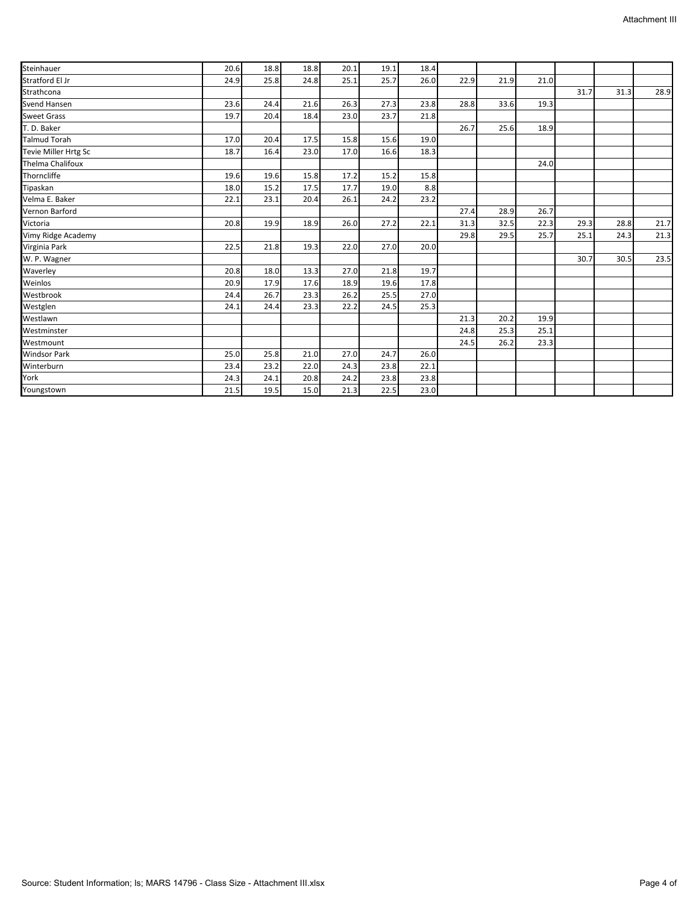| Steinhauer              | 20.6 | 18.8 | 18.8 | 20.1 | 19.1 | 18.4 |      |      |      |      |      |      |
|-------------------------|------|------|------|------|------|------|------|------|------|------|------|------|
| Stratford El Jr         | 24.9 | 25.8 | 24.8 | 25.1 | 25.7 | 26.0 | 22.9 | 21.9 | 21.0 |      |      |      |
| Strathcona              |      |      |      |      |      |      |      |      |      | 31.7 | 31.3 | 28.9 |
| Svend Hansen            | 23.6 | 24.4 | 21.6 | 26.3 | 27.3 | 23.8 | 28.8 | 33.6 | 19.3 |      |      |      |
| <b>Sweet Grass</b>      | 19.7 | 20.4 | 18.4 | 23.0 | 23.7 | 21.8 |      |      |      |      |      |      |
| T. D. Baker             |      |      |      |      |      |      | 26.7 | 25.6 | 18.9 |      |      |      |
| <b>Talmud Torah</b>     | 17.0 | 20.4 | 17.5 | 15.8 | 15.6 | 19.0 |      |      |      |      |      |      |
| Tevie Miller Hrtg Sc    | 18.7 | 16.4 | 23.0 | 17.0 | 16.6 | 18.3 |      |      |      |      |      |      |
| <b>Thelma Chalifoux</b> |      |      |      |      |      |      |      |      | 24.0 |      |      |      |
| Thorncliffe             | 19.6 | 19.6 | 15.8 | 17.2 | 15.2 | 15.8 |      |      |      |      |      |      |
| Tipaskan                | 18.0 | 15.2 | 17.5 | 17.7 | 19.0 | 8.8  |      |      |      |      |      |      |
| Velma E. Baker          | 22.1 | 23.1 | 20.4 | 26.1 | 24.2 | 23.2 |      |      |      |      |      |      |
| Vernon Barford          |      |      |      |      |      |      | 27.4 | 28.9 | 26.7 |      |      |      |
| Victoria                | 20.8 | 19.9 | 18.9 | 26.0 | 27.2 | 22.1 | 31.3 | 32.5 | 22.3 | 29.3 | 28.8 | 21.7 |
| Vimy Ridge Academy      |      |      |      |      |      |      | 29.8 | 29.5 | 25.7 | 25.1 | 24.3 | 21.3 |
| Virginia Park           | 22.5 | 21.8 | 19.3 | 22.0 | 27.0 | 20.0 |      |      |      |      |      |      |
| W. P. Wagner            |      |      |      |      |      |      |      |      |      | 30.7 | 30.5 | 23.5 |
| Waverley                | 20.8 | 18.0 | 13.3 | 27.0 | 21.8 | 19.7 |      |      |      |      |      |      |
| Weinlos                 | 20.9 | 17.9 | 17.6 | 18.9 | 19.6 | 17.8 |      |      |      |      |      |      |
| Westbrook               | 24.4 | 26.7 | 23.3 | 26.2 | 25.5 | 27.0 |      |      |      |      |      |      |
| Westglen                | 24.1 | 24.4 | 23.3 | 22.2 | 24.5 | 25.3 |      |      |      |      |      |      |
| Westlawn                |      |      |      |      |      |      | 21.3 | 20.2 | 19.9 |      |      |      |
| Westminster             |      |      |      |      |      |      | 24.8 | 25.3 | 25.1 |      |      |      |
| Westmount               |      |      |      |      |      |      | 24.5 | 26.2 | 23.3 |      |      |      |
| <b>Windsor Park</b>     | 25.0 | 25.8 | 21.0 | 27.0 | 24.7 | 26.0 |      |      |      |      |      |      |
| Winterburn              | 23.4 | 23.2 | 22.0 | 24.3 | 23.8 | 22.1 |      |      |      |      |      |      |
| York                    | 24.3 | 24.1 | 20.8 | 24.2 | 23.8 | 23.8 |      |      |      |      |      |      |
| Youngstown              | 21.5 | 19.5 | 15.0 | 21.3 | 22.5 | 23.0 |      |      |      |      |      |      |
|                         |      |      |      |      |      |      |      |      |      |      |      |      |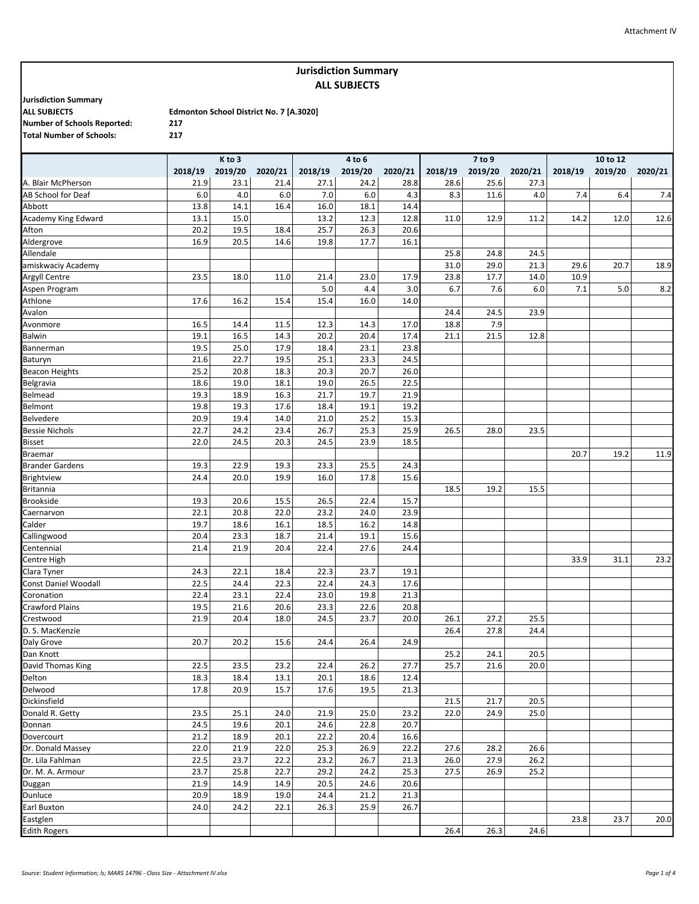# **Jurisdiction Summary ALL SUBJECTS**

**Jurisdiction Summary**

**Number of Schools Reported: 217 Total Number of Schools: 217**

|                                      |         | K to 3  |         |         | 4 to 6  |         |         | 7 to 9  |         |         | 10 to 12 |         |
|--------------------------------------|---------|---------|---------|---------|---------|---------|---------|---------|---------|---------|----------|---------|
|                                      | 2018/19 | 2019/20 | 2020/21 | 2018/19 | 2019/20 | 2020/21 | 2018/19 | 2019/20 | 2020/21 | 2018/19 | 2019/20  | 2020/21 |
| A. Blair McPherson                   | 21.9    | 23.1    | 21.4    | 27.1    | 24.2    | 28.8    | 28.6    | 25.6    | 27.3    |         |          |         |
| AB School for Deaf                   | $6.0$   | 4.0     | 6.0     | 7.0     | 6.0     | 4.3     | 8.3     | 11.6    | 4.0     | 7.4     | 6.4      | 7.4     |
| Abbott                               | 13.8    | 14.1    | 16.4    | 16.0    | 18.1    | 14.4    |         |         |         |         |          |         |
| Academy King Edward                  | 13.1    | 15.0    |         | 13.2    | 12.3    | 12.8    | 11.0    | 12.9    | 11.2    | 14.2    | 12.0     | 12.6    |
| Afton                                | 20.2    | 19.5    | 18.4    | 25.7    | 26.3    | 20.6    |         |         |         |         |          |         |
| Aldergrove                           | 16.9    | 20.5    | 14.6    | 19.8    | 17.7    | 16.1    |         |         |         |         |          |         |
| Allendale                            |         |         |         |         |         |         | 25.8    | 24.8    | 24.5    |         |          |         |
| amiskwaciy Academy                   |         |         |         |         |         |         | 31.0    | 29.0    | 21.3    | 29.6    | 20.7     | 18.9    |
| Argyll Centre                        | 23.5    | 18.0    | 11.0    | 21.4    | 23.0    | 17.9    | 23.8    | 17.7    | 14.0    | 10.9    |          |         |
| Aspen Program                        |         |         |         | 5.0     | 4.4     | 3.0     | 6.7     | 7.6     | 6.0     | 7.1     | 5.0      | 8.2     |
| Athlone                              | 17.6    | 16.2    | 15.4    | 15.4    | 16.0    | 14.0    |         |         |         |         |          |         |
| Avalon                               |         |         |         |         |         |         | 24.4    | 24.5    | 23.9    |         |          |         |
| Avonmore                             | 16.5    | 14.4    | 11.5    | 12.3    | 14.3    | 17.0    | 18.8    | 7.9     |         |         |          |         |
| Balwin                               | 19.1    | 16.5    | 14.3    | 20.2    | 20.4    | 17.4    | 21.1    | 21.5    | 12.8    |         |          |         |
| Bannerman                            | 19.5    | 25.0    | 17.9    | 18.4    | 23.1    | 23.8    |         |         |         |         |          |         |
| Baturyn                              | 21.6    | 22.7    | 19.5    | 25.1    | 23.3    | 24.5    |         |         |         |         |          |         |
| <b>Beacon Heights</b>                | 25.2    | 20.8    | 18.3    | 20.3    | 20.7    | 26.0    |         |         |         |         |          |         |
| Belgravia                            | 18.6    | 19.0    | 18.1    | 19.0    | 26.5    | 22.5    |         |         |         |         |          |         |
| Belmead                              | 19.3    | 18.9    | 16.3    | 21.7    | 19.7    | 21.9    |         |         |         |         |          |         |
| Belmont                              | 19.8    | 19.3    | 17.6    | 18.4    | 19.1    | 19.2    |         |         |         |         |          |         |
| Belvedere                            | 20.9    | 19.4    | 14.0    | 21.0    | 25.2    | 15.3    |         |         |         |         |          |         |
| <b>Bessie Nichols</b>                | 22.7    | 24.2    | 23.4    | 26.7    | 25.3    | 25.9    | 26.5    | 28.0    | 23.5    |         |          |         |
| <b>Bisset</b>                        | 22.0    | 24.5    | 20.3    | 24.5    | 23.9    | 18.5    |         |         |         |         |          |         |
| <b>Braemar</b>                       |         |         |         |         |         |         |         |         |         | 20.7    | 19.2     | 11.9    |
| <b>Brander Gardens</b>               | 19.3    | 22.9    | 19.3    | 23.3    | 25.5    | 24.3    |         |         |         |         |          |         |
| <b>Brightview</b>                    | 24.4    | 20.0    | 19.9    | 16.0    | 17.8    | 15.6    |         |         |         |         |          |         |
| <b>Britannia</b>                     |         |         |         |         |         |         | 18.5    | 19.2    | 15.5    |         |          |         |
| <b>Brookside</b>                     | 19.3    | 20.6    | 15.5    | 26.5    | 22.4    | 15.7    |         |         |         |         |          |         |
| Caernarvon                           | 22.1    | 20.8    | 22.0    | 23.2    | 24.0    | 23.9    |         |         |         |         |          |         |
| Calder                               | 19.7    | 18.6    | 16.1    | 18.5    | 16.2    | 14.8    |         |         |         |         |          |         |
| Callingwood                          | 20.4    | 23.3    | 18.7    | 21.4    | 19.1    | 15.6    |         |         |         |         |          |         |
| Centennial                           | 21.4    | 21.9    | 20.4    | 22.4    | 27.6    | 24.4    |         |         |         |         |          |         |
| Centre High                          |         |         |         |         |         |         |         |         |         | 33.9    | 31.1     | 23.2    |
| Clara Tyner                          | 24.3    | 22.1    | 18.4    | 22.3    | 23.7    | 19.1    |         |         |         |         |          |         |
| Const Daniel Woodall                 | 22.5    | 24.4    | 22.3    | 22.4    | 24.3    | 17.6    |         |         |         |         |          |         |
| Coronation                           | 22.4    | 23.1    | 22.4    | 23.0    | 19.8    | 21.3    |         |         |         |         |          |         |
| Crawford Plains                      | 19.5    | 21.6    | 20.6    | 23.3    | 22.6    | 20.8    |         |         |         |         |          |         |
| Crestwood                            | 21.9    | 20.4    | 18.0    | 24.5    | 23.7    | 20.0    | 26.1    | 27.2    | 25.5    |         |          |         |
| D. S. MacKenzie                      |         |         |         |         |         |         | 26.4    | 27.8    | 24.4    |         |          |         |
| Daly Grove                           | 20.7    | 20.2    | 15.6    | 24.4    | 26.4    | 24.9    |         |         |         |         |          |         |
| Dan Knott                            |         |         |         |         |         |         | 25.2    | 24.1    | 20.5    |         |          |         |
| David Thomas King                    | 22.5    | 23.5    | 23.2    | 22.4    | 26.2    | 27.7    | 25.7    | 21.6    | 20.0    |         |          |         |
| Delton                               | 18.3    | 18.4    | 13.1    | 20.1    | 18.6    | 12.4    |         |         |         |         |          |         |
| Delwood                              | 17.8    | 20.9    | 15.7    | 17.6    | 19.5    | 21.3    |         |         |         |         |          |         |
| Dickinsfield                         |         |         |         |         |         |         | 21.5    | 21.7    | 20.5    |         |          |         |
| Donald R. Getty                      | 23.5    | 25.1    | 24.0    | 21.9    | 25.0    | 23.2    | 22.0    | 24.9    | 25.0    |         |          |         |
| Donnan                               | 24.5    | 19.6    | 20.1    | 24.6    | 22.8    | 20.7    |         |         |         |         |          |         |
| Dovercourt                           | 21.2    | 18.9    | 20.1    | 22.2    | 20.4    | 16.6    |         |         |         |         |          |         |
| Dr. Donald Massey                    | 22.0    | 21.9    | 22.0    | 25.3    | 26.9    | 22.2    | 27.6    | 28.2    | 26.6    |         |          |         |
|                                      | 22.5    | 23.7    | 22.2    | 23.2    | 26.7    | 21.3    | 26.0    | 27.9    | 26.2    |         |          |         |
| Dr. Lila Fahlman<br>Dr. M. A. Armour | 23.7    | 25.8    | 22.7    | 29.2    | 24.2    | 25.3    | 27.5    | 26.9    | 25.2    |         |          |         |
|                                      | 21.9    | 14.9    | 14.9    | 20.5    | 24.6    | 20.6    |         |         |         |         |          |         |
| Duggan<br>Dunluce                    | 20.9    | 18.9    | 19.0    | 24.4    | 21.2    | 21.3    |         |         |         |         |          |         |
| Earl Buxton                          | 24.0    | 24.2    | 22.1    | 26.3    | 25.9    | 26.7    |         |         |         |         |          |         |
| Eastglen                             |         |         |         |         |         |         |         |         |         | 23.8    | 23.7     | 20.0    |
| <b>Edith Rogers</b>                  |         |         |         |         |         |         | 26.4    | 26.3    | 24.6    |         |          |         |
|                                      |         |         |         |         |         |         |         |         |         |         |          |         |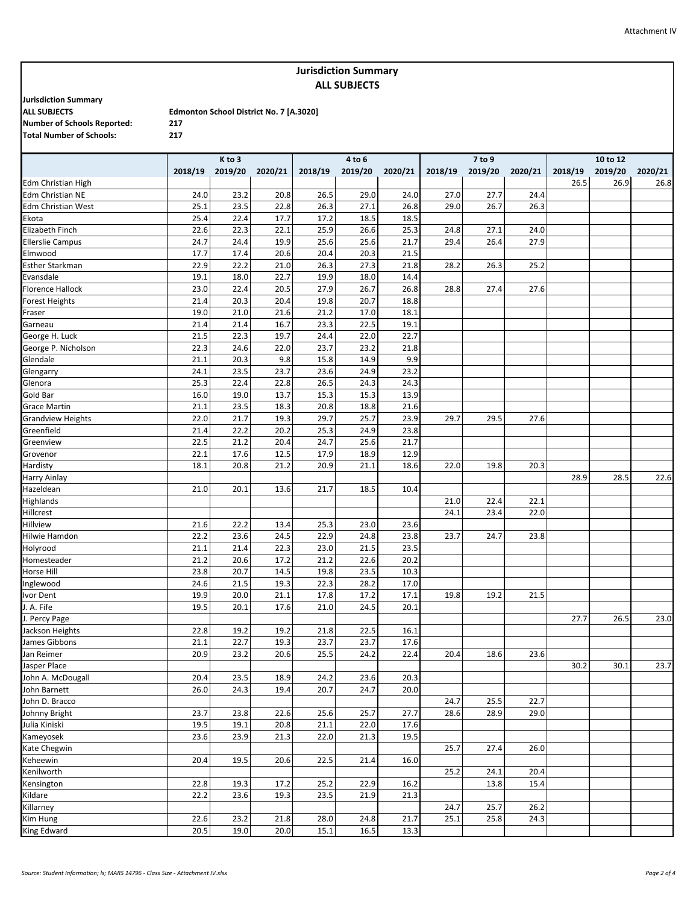#### Attachment IV

## **Jurisdiction Summary ALL SUBJECTS**

**Jurisdiction Summary**

**Number of Schools Reported: 217 Total Number of Schools: 217**

|                           |         | K to 3  |         |         | 4 to 6  |         |         | 7 to 9  |         | 10 to 12 |         |         |  |
|---------------------------|---------|---------|---------|---------|---------|---------|---------|---------|---------|----------|---------|---------|--|
|                           | 2018/19 | 2019/20 | 2020/21 | 2018/19 | 2019/20 | 2020/21 | 2018/19 | 2019/20 | 2020/21 | 2018/19  | 2019/20 | 2020/21 |  |
| <b>Edm Christian High</b> |         |         |         |         |         |         |         |         |         | 26.5     | 26.9    | 26.8    |  |
| <b>Edm Christian NE</b>   | 24.0    | 23.2    | 20.8    | 26.5    | 29.0    | 24.0    | 27.0    | 27.7    | 24.4    |          |         |         |  |
| <b>Edm Christian West</b> | 25.1    | 23.5    | 22.8    | 26.3    | 27.1    | 26.8    | 29.0    | 26.7    | 26.3    |          |         |         |  |
| Ekota                     | 25.4    | 22.4    | 17.7    | 17.2    | 18.5    | 18.5    |         |         |         |          |         |         |  |
| Elizabeth Finch           | 22.6    | 22.3    | 22.1    | 25.9    | 26.6    | 25.3    | 24.8    | 27.1    | 24.0    |          |         |         |  |
| <b>Ellerslie Campus</b>   | 24.7    | 24.4    | 19.9    | 25.6    | 25.6    | 21.7    | 29.4    | 26.4    | 27.9    |          |         |         |  |
| Elmwood                   | 17.7    | 17.4    | 20.6    | 20.4    | 20.3    | 21.5    |         |         |         |          |         |         |  |
| <b>Esther Starkman</b>    | 22.9    | 22.2    | 21.0    | 26.3    | 27.3    | 21.8    | 28.2    | 26.3    | 25.2    |          |         |         |  |
| Evansdale                 | 19.1    | 18.0    | 22.7    | 19.9    | 18.0    | 14.4    |         |         |         |          |         |         |  |
| <b>Florence Hallock</b>   | 23.0    | 22.4    | 20.5    | 27.9    | 26.7    | 26.8    | 28.8    | 27.4    | 27.6    |          |         |         |  |
| <b>Forest Heights</b>     | 21.4    | 20.3    | 20.4    | 19.8    | 20.7    | 18.8    |         |         |         |          |         |         |  |
| Fraser                    | 19.0    | 21.0    | 21.6    | 21.2    | 17.0    | 18.1    |         |         |         |          |         |         |  |
| Garneau                   | 21.4    | 21.4    | 16.7    | 23.3    | 22.5    | 19.1    |         |         |         |          |         |         |  |
| George H. Luck            | 21.5    | 22.3    | 19.7    | 24.4    | 22.0    | 22.7    |         |         |         |          |         |         |  |
| George P. Nicholson       | 22.3    | 24.6    | 22.0    | 23.7    | 23.2    | 21.8    |         |         |         |          |         |         |  |
| Glendale                  | 21.1    | 20.3    | 9.8     | 15.8    | 14.9    | 9.9     |         |         |         |          |         |         |  |
| Glengarry                 | 24.1    | 23.5    | 23.7    | 23.6    | 24.9    | 23.2    |         |         |         |          |         |         |  |
| Glenora                   | 25.3    | 22.4    | 22.8    | 26.5    | 24.3    | 24.3    |         |         |         |          |         |         |  |
| Gold Bar                  | 16.0    | 19.0    | 13.7    | 15.3    | 15.3    | 13.9    |         |         |         |          |         |         |  |
| <b>Grace Martin</b>       | 21.1    | 23.5    | 18.3    | 20.8    | 18.8    | 21.6    |         |         |         |          |         |         |  |
| <b>Grandview Heights</b>  | 22.0    | 21.7    | 19.3    | 29.7    | 25.7    | 23.9    | 29.7    | 29.5    | 27.6    |          |         |         |  |
| Greenfield                | 21.4    | 22.2    | 20.2    | 25.3    | 24.9    | 23.8    |         |         |         |          |         |         |  |
| Greenview                 | 22.5    | 21.2    | 20.4    | 24.7    | 25.6    | 21.7    |         |         |         |          |         |         |  |
| Grovenor                  | 22.1    | 17.6    | 12.5    | 17.9    | 18.9    | 12.9    |         |         |         |          |         |         |  |
| Hardisty                  | 18.1    | 20.8    | 21.2    | 20.9    | 21.1    | 18.6    | 22.0    | 19.8    | 20.3    |          |         |         |  |
| Harry Ainlay              |         |         |         |         |         |         |         |         |         | 28.9     | 28.5    | 22.6    |  |
| Hazeldean                 | 21.0    | 20.1    | 13.6    | 21.7    | 18.5    | 10.4    |         |         |         |          |         |         |  |
| Highlands                 |         |         |         |         |         |         | 21.0    | 22.4    | 22.1    |          |         |         |  |
| Hillcrest                 |         |         |         |         |         |         | 24.1    | 23.4    | 22.0    |          |         |         |  |
| Hillview                  | 21.6    | 22.2    | 13.4    | 25.3    | 23.0    | 23.6    |         |         |         |          |         |         |  |
| Hilwie Hamdon             | 22.2    | 23.6    | 24.5    | 22.9    | 24.8    | 23.8    | 23.7    | 24.7    | 23.8    |          |         |         |  |
| Holyrood                  | 21.1    | 21.4    | 22.3    | 23.0    | 21.5    | 23.5    |         |         |         |          |         |         |  |
| Homesteader               | 21.2    | 20.6    | 17.2    | 21.2    | 22.6    | 20.2    |         |         |         |          |         |         |  |
| Horse Hill                | 23.8    | 20.7    | 14.5    | 19.8    | 23.5    | 10.3    |         |         |         |          |         |         |  |
| Inglewood                 | 24.6    | 21.5    | 19.3    | 22.3    | 28.2    | 17.0    |         |         |         |          |         |         |  |
| Ivor Dent                 | 19.9    | 20.0    | 21.1    | 17.8    | 17.2    | 17.1    | 19.8    | 19.2    | 21.5    |          |         |         |  |
| J. A. Fife                | 19.5    | 20.1    | 17.6    | 21.0    | 24.5    | 20.1    |         |         |         |          |         |         |  |
| J. Percy Page             |         |         |         |         |         |         |         |         |         | 27.7     | 26.5    | 23.0    |  |
| Jackson Heights           | 22.8    | 19.2    | 19.2    | 21.8    | 22.5    | 16.1    |         |         |         |          |         |         |  |
| James Gibbons             | 21.1    | 22.7    | 19.3    | 23.7    | 23.7    | 17.6    |         |         |         |          |         |         |  |
| Jan Reimer                | 20.9    | 23.2    | 20.6    | 25.5    | 24.2    | 22.4    | 20.4    | 18.6    | 23.6    |          |         |         |  |
| Jasper Place              |         |         |         |         |         |         |         |         |         | 30.2     | 30.1    | 23.7    |  |
| John A. McDougall         | 20.4    | 23.5    | 18.9    | 24.2    | 23.6    | 20.3    |         |         |         |          |         |         |  |
| John Barnett              | 26.0    | 24.3    | 19.4    | 20.7    | 24.7    | 20.0    |         |         |         |          |         |         |  |
| John D. Bracco            |         |         |         |         |         |         | 24.7    | 25.5    | 22.7    |          |         |         |  |
| Johnny Bright             | 23.7    | 23.8    | 22.6    | 25.6    | 25.7    | 27.7    | 28.6    | 28.9    | 29.0    |          |         |         |  |
| Julia Kiniski             | 19.5    | 19.1    | 20.8    | 21.1    | 22.0    | 17.6    |         |         |         |          |         |         |  |
| Kameyosek                 | 23.6    | 23.9    | 21.3    | 22.0    | 21.3    | 19.5    |         |         |         |          |         |         |  |
| Kate Chegwin              |         |         |         |         |         |         | 25.7    | 27.4    | 26.0    |          |         |         |  |
| Keheewin                  | 20.4    | 19.5    | 20.6    | 22.5    | 21.4    | 16.0    |         |         |         |          |         |         |  |
| Kenilworth                |         |         |         |         |         |         | 25.2    | 24.1    | 20.4    |          |         |         |  |
| Kensington                | 22.8    | 19.3    | 17.2    | 25.2    | 22.9    | 16.2    |         | 13.8    | 15.4    |          |         |         |  |
| Kildare                   | 22.2    | 23.6    | 19.3    | 23.5    | 21.9    | 21.3    |         |         |         |          |         |         |  |
| Killarney                 |         |         |         |         |         |         | 24.7    | 25.7    | 26.2    |          |         |         |  |
| Kim Hung                  | 22.6    | 23.2    | 21.8    | 28.0    | 24.8    | 21.7    | 25.1    | 25.8    | 24.3    |          |         |         |  |
| King Edward               | 20.5    | 19.0    | 20.0    | 15.1    | 16.5    | 13.3    |         |         |         |          |         |         |  |
|                           |         |         |         |         |         |         |         |         |         |          |         |         |  |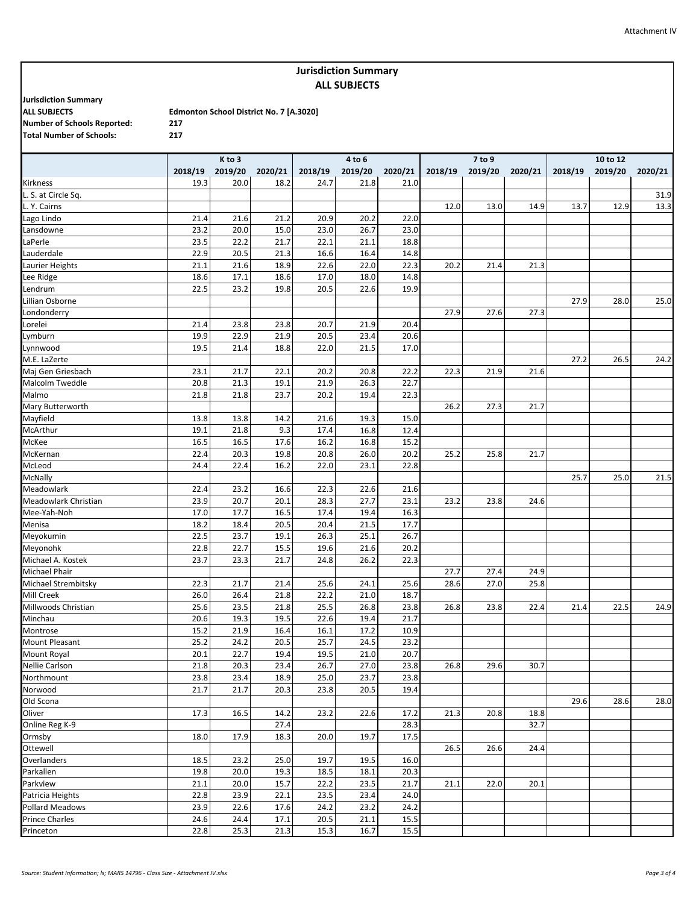#### Attachment IV

## **Jurisdiction Summary ALL SUBJECTS**

**Jurisdiction Summary Number of Schools Reported: 217 Total Number of Schools: 217**

|                       |         | K to 3  |         |         | 4 to 6  |         |         | 7 to 9  |         |         | 10 to 12 |         |
|-----------------------|---------|---------|---------|---------|---------|---------|---------|---------|---------|---------|----------|---------|
|                       | 2018/19 | 2019/20 | 2020/21 | 2018/19 | 2019/20 | 2020/21 | 2018/19 | 2019/20 | 2020/21 | 2018/19 | 2019/20  | 2020/21 |
| Kirkness              | 19.3    | 20.0    | 18.2    | 24.7    | 21.8    | 21.0    |         |         |         |         |          |         |
| L. S. at Circle Sq.   |         |         |         |         |         |         |         |         |         |         |          | 31.9    |
| L. Y. Cairns          |         |         |         |         |         |         | 12.0    | 13.0    | 14.9    | 13.7    | 12.9     | 13.3    |
| Lago Lindo            | 21.4    | 21.6    | 21.2    | 20.9    | 20.2    | 22.0    |         |         |         |         |          |         |
| Lansdowne             | 23.2    | 20.0    | 15.0    | 23.0    | 26.7    | 23.0    |         |         |         |         |          |         |
| LaPerle               | 23.5    | 22.2    | 21.7    | 22.1    | 21.1    | 18.8    |         |         |         |         |          |         |
| Lauderdale            | 22.9    | 20.5    | 21.3    | 16.6    | 16.4    | 14.8    |         |         |         |         |          |         |
| Laurier Heights       | 21.1    | 21.6    | 18.9    | 22.6    | 22.0    | 22.3    | 20.2    | 21.4    | 21.3    |         |          |         |
| Lee Ridge             | 18.6    | 17.1    | 18.6    | 17.0    | 18.0    | 14.8    |         |         |         |         |          |         |
| Lendrum               | 22.5    | 23.2    | 19.8    | 20.5    | 22.6    | 19.9    |         |         |         |         |          |         |
| Lillian Osborne       |         |         |         |         |         |         |         |         |         | 27.9    | 28.0     | 25.0    |
| Londonderry           |         |         |         |         |         |         | 27.9    | 27.6    | 27.3    |         |          |         |
| Lorelei               | 21.4    | 23.8    | 23.8    | 20.7    | 21.9    | 20.4    |         |         |         |         |          |         |
| Lymburn               | 19.9    | 22.9    | 21.9    | 20.5    | 23.4    | 20.6    |         |         |         |         |          |         |
| Lynnwood              | 19.5    | 21.4    | 18.8    | 22.0    | 21.5    | 17.0    |         |         |         |         |          |         |
| M.E. LaZerte          |         |         |         |         |         |         |         |         |         | 27.2    | 26.5     | 24.2    |
| Maj Gen Griesbach     | 23.1    | 21.7    | 22.1    | 20.2    | 20.8    | 22.2    | 22.3    | 21.9    | 21.6    |         |          |         |
| Malcolm Tweddle       | 20.8    | 21.3    | 19.1    | 21.9    | 26.3    | 22.7    |         |         |         |         |          |         |
| Malmo                 | 21.8    | 21.8    | 23.7    | 20.2    | 19.4    | 22.3    |         |         |         |         |          |         |
| Mary Butterworth      |         |         |         |         |         |         | 26.2    | 27.3    | 21.7    |         |          |         |
| Mayfield              | 13.8    | 13.8    | 14.2    | 21.6    | 19.3    | 15.0    |         |         |         |         |          |         |
| McArthur              | 19.1    | 21.8    | 9.3     | 17.4    | 16.8    | 12.4    |         |         |         |         |          |         |
| McKee                 | 16.5    | 16.5    | 17.6    | 16.2    | 16.8    | 15.2    |         |         |         |         |          |         |
| McKernan              | 22.4    | 20.3    | 19.8    | 20.8    | 26.0    | 20.2    | 25.2    | 25.8    | 21.7    |         |          |         |
| McLeod                | 24.4    | 22.4    | 16.2    | 22.0    | 23.1    | 22.8    |         |         |         |         |          |         |
| McNally               |         |         |         |         |         |         |         |         |         | 25.7    | 25.0     | 21.5    |
| Meadowlark            | 22.4    | 23.2    | 16.6    | 22.3    | 22.6    | 21.6    |         |         |         |         |          |         |
| Meadowlark Christian  | 23.9    | 20.7    | 20.1    | 28.3    | 27.7    | 23.1    | 23.2    | 23.8    | 24.6    |         |          |         |
| Mee-Yah-Noh           | 17.0    | 17.7    | 16.5    | 17.4    | 19.4    | 16.3    |         |         |         |         |          |         |
| Menisa                | 18.2    | 18.4    | 20.5    | 20.4    | 21.5    | 17.7    |         |         |         |         |          |         |
| Meyokumin             | 22.5    | 23.7    | 19.1    | 26.3    | 25.1    | 26.7    |         |         |         |         |          |         |
| Meyonohk              | 22.8    | 22.7    | 15.5    | 19.6    | 21.6    | 20.2    |         |         |         |         |          |         |
| Michael A. Kostek     | 23.7    | 23.3    | 21.7    | 24.8    | 26.2    | 22.3    |         |         |         |         |          |         |
| <b>Michael Phair</b>  |         |         |         |         |         |         | 27.7    | 27.4    | 24.9    |         |          |         |
| Michael Strembitsky   | 22.3    | 21.7    | 21.4    | 25.6    | 24.1    | 25.6    | 28.6    | 27.0    | 25.8    |         |          |         |
| Mill Creek            | 26.0    | 26.4    | 21.8    | 22.2    | 21.0    | 18.7    |         |         |         |         |          |         |
| Millwoods Christian   | 25.6    | 23.5    | 21.8    | 25.5    | 26.8    | 23.8    | 26.8    | 23.8    | 22.4    | 21.4    | 22.5     | 24.9    |
| Minchau               | 20.6    | 19.3    | 19.5    | 22.6    | 19.4    | 21.7    |         |         |         |         |          |         |
| Montrose              | 15.2    | 21.9    | 16.4    | 16.1    | 17.2    | 10.9    |         |         |         |         |          |         |
| <b>Mount Pleasant</b> | 25.2    | 24.2    | 20.5    | 25.7    | 24.5    | 23.2    |         |         |         |         |          |         |
| Mount Royal           | 20.1    | 22.7    | 19.4    | 19.5    | 21.0    | 20.7    |         |         |         |         |          |         |
| <b>Nellie Carlson</b> | 21.8    | 20.3    | 23.4    | 26.7    | 27.0    | 23.8    | 26.8    | 29.6    | 30.7    |         |          |         |
| Northmount            | 23.8    | 23.4    | 18.9    | 25.0    | 23.7    | 23.8    |         |         |         |         |          |         |
| Norwood               | 21.7    | 21.7    | 20.3    | 23.8    | 20.5    | 19.4    |         |         |         |         |          |         |
| Old Scona             |         |         |         |         |         |         |         |         |         | 29.6    | 28.6     | 28.0    |
| Oliver                | 17.3    | 16.5    | 14.2    | 23.2    | 22.6    | 17.2    | 21.3    | 20.8    | 18.8    |         |          |         |
| Online Reg K-9        |         |         | 27.4    |         |         | 28.3    |         |         | 32.7    |         |          |         |
|                       |         |         |         |         |         |         |         |         |         |         |          |         |
| Ormsby<br>Ottewell    | 18.0    | 17.9    | 18.3    | 20.0    | 19.7    | 17.5    |         |         | 24.4    |         |          |         |
|                       |         |         |         |         |         |         | 26.5    | 26.6    |         |         |          |         |
| Overlanders           | 18.5    | 23.2    | 25.0    | 19.7    | 19.5    | 16.0    |         |         |         |         |          |         |
| Parkallen             | 19.8    | 20.0    | 19.3    | 18.5    | 18.1    | 20.3    |         |         |         |         |          |         |
| Parkview              | 21.1    | 20.0    | 15.7    | 22.2    | 23.5    | 21.7    | 21.1    | 22.0    | 20.1    |         |          |         |
| Patricia Heights      | 22.8    | 23.9    | 22.1    | 23.5    | 23.4    | 24.0    |         |         |         |         |          |         |
| Pollard Meadows       | 23.9    | 22.6    | 17.6    | 24.2    | 23.2    | 24.2    |         |         |         |         |          |         |
| <b>Prince Charles</b> | 24.6    | 24.4    | 17.1    | 20.5    | 21.1    | 15.5    |         |         |         |         |          |         |
| Princeton             | 22.8    | 25.3    | 21.3    | 15.3    | 16.7    | 15.5    |         |         |         |         |          |         |